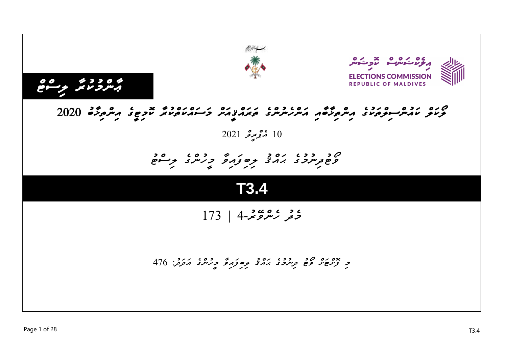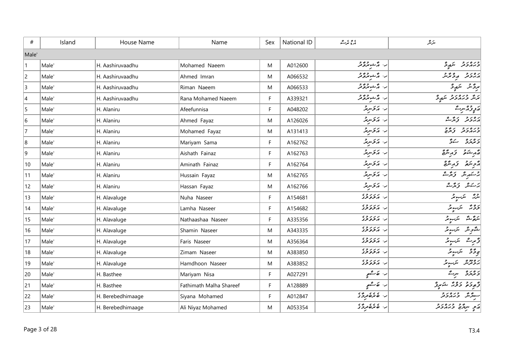| #               | Island | House Name        | Name                    | Sex | National ID | ، ه ، ره<br>د ، برگ                                                                                                                                                                                                              | ىئرىتر                        |
|-----------------|--------|-------------------|-------------------------|-----|-------------|----------------------------------------------------------------------------------------------------------------------------------------------------------------------------------------------------------------------------------|-------------------------------|
| Male'           |        |                   |                         |     |             |                                                                                                                                                                                                                                  |                               |
|                 | Male'  | H. Aashiruvaadhu  | Mohamed Naeem           | M   | A012600     | ر. گەشىرىمۇقر                                                                                                                                                                                                                    | ورەر ئىمەد                    |
| $\vert$ 2       | Male'  | H. Aashiruvaadhu  | Ahmed Imran             | M   | A066532     | ر . گەشىرىرگەر                                                                                                                                                                                                                   | גפנים הכתית                   |
| $\vert$ 3       | Male'  | H. Aashiruvaadhu  | Riman Naeem             | M   | A066533     | ر. گەشىرىمۇقر                                                                                                                                                                                                                    | برڈش شہر                      |
| $\vert 4$       | Male'  | H. Aashiruvaadhu  | Rana Mohamed Naeem      | F   | A339321     | ر٠ د کمشو بروگر                                                                                                                                                                                                                  | ג זי די די די קביר האי בי     |
| 5               | Male'  | H. Alaniru        | Afeefunnisa             | F   | A048202     | ر، مەكەسىر                                                                                                                                                                                                                       | ړ تو تر مه سر گ               |
| $\vert 6 \vert$ | Male'  | H. Alaniru        | Ahmed Fayaz             | M   | A126026     | ر، مەكەسىر                                                                                                                                                                                                                       | رەرد روت                      |
| 7               | Male'  | H. Alaniru        | Mohamed Fayaz           | M   | A131413     | ر، مەكەسىم                                                                                                                                                                                                                       | כנסנכ נביב<br>כגהכת נהש       |
| $\overline{8}$  | Male'  | H. Alaniru        | Mariyam Sama            | F   | A162762     | ر، ئەنزىيرىز                                                                                                                                                                                                                     | و ده ده کرد                   |
| $ 9\rangle$     | Male'  | H. Alaniru        | Aishath Fainaz          | F   | A162763     | ر، مەنۇبىرىمە                                                                                                                                                                                                                    | أقهر شؤو ومرتجع               |
| $ 10\rangle$    | Male'  | H. Alaniru        | Aminath Fainaz          | F.  | A162764     | ر. مەنزىيرىز                                                                                                                                                                                                                     | أزويتمو ورشع                  |
| 11              | Male'  | H. Alaniru        | Hussain Fayaz           | M   | A162765     | ر، مگوشری                                                                                                                                                                                                                        | <mark>بر سەمەر ئەرگە</mark> ت |
| 12              | Male'  | H. Alaniru        | Hassan Fayaz            | M   | A162766     | ر، مەكەسىر                                                                                                                                                                                                                       | پرسته بر تهرینه               |
| 13              | Male'  | H. Alavaluge      | Nuha Naseer             | F   | A154681     | ر بر روه<br>ر بر گرون                                                                                                                                                                                                            | للرئز الكرسونجر               |
| 14              | Male'  | H. Alavaluge      | Lamha Naseer            | F   | A154682     | ر بر روه<br>ر بر ترونوی                                                                                                                                                                                                          | كوورثة الترسور                |
| 15              | Male'  | H. Alavaluge      | Nathaashaa Naseer       | F   | A335356     | ر بر رو د<br>ر بر ترونوی                                                                                                                                                                                                         | للمعرضة المترسوس              |
| 16              | Male'  | H. Alavaluge      | Shamin Naseer           | M   | A343335     | ر بر روه<br>ر بر ترونوی                                                                                                                                                                                                          | لحكويش الكرسومى               |
| 17              | Male'  | H. Alavaluge      | Faris Naseer            | M   | A356364     | ر بر رو د<br>ر بر ترونوی                                                                                                                                                                                                         | ۇلىرىش ئىكرىنى ئە             |
| 18              | Male'  | H. Alavaluge      | Zimam Naseer            | M   | A383850     | ر بر روه<br>ر بر گرون                                                                                                                                                                                                            | ى <sub>ج</sub> ۇۋ سىيەتمە     |
| 19              | Male'  | H. Alavaluge      | Hamdhoon Naseer         | M   | A383852     | ر پر کرد و ،<br>ر بر کروگری                                                                                                                                                                                                      | پره دوه په سرب چر             |
| 20              | Male'  | H. Basthee        | Mariyam Nisa            | F   | A027291     | ر، ئەسىھ                                                                                                                                                                                                                         | ويواده البرائي                |
| 21              | Male'  | H. Basthee        | Fathimath Malha Shareef | F   | A128889     | ر. ئەشھ <sub>ىي</sub>                                                                                                                                                                                                            | توجدة دور خيرو                |
| 22              | Male'  | H. Berebedhimaage | Siyana Mohamed          | F.  | A012847     | $rac{c}{s}$                                                                                                                                                                                                                      | سوره وره دو                   |
| 23              | Male'  | H. Berebedhimaage | Ali Niyaz Mohamed       | M   | A053354     | ر به عام در در در در بالاستان به ایران به در ایران به ایران به ایران بالاستان بالاستان بالاستان بالاستان بالاس<br>مراسم بالاستان بالاستان بالاستان بالاستان بالاستان بالاستان بالاستان بالاستان بالاستان بالاستان بالاستان بالاس | ار د سرمان دره د د            |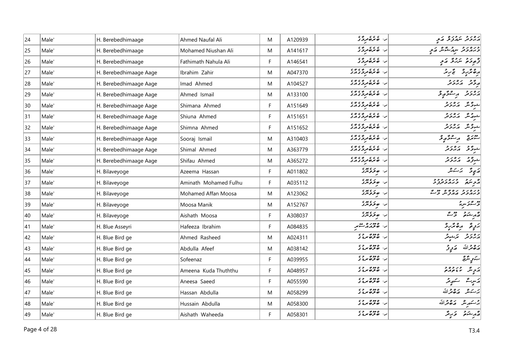| 24           | Male' | H. Berebedhimaage      | Ahmed Naufal Ali      | M         | A120939 | ر وه بره د د و و<br>ر ۰ ه بره درد د                                                                                                                                                                                              | أيرو والمتحدد وأبي                                    |
|--------------|-------|------------------------|-----------------------|-----------|---------|----------------------------------------------------------------------------------------------------------------------------------------------------------------------------------------------------------------------------------|-------------------------------------------------------|
| 25           | Male' | H. Berebedhimaage      | Mohamed Niushan Ali   | M         | A141617 | ے جے دیے<br>رہ تھیر ت <i>ھ</i> تر <del>ت</del> ر <sub>ک</sub>                                                                                                                                                                    | ورەرو سرمشكر كمي                                      |
| 26           | Male' | H. Berebedhimaage      | Fathimath Nahula Ali  | F         | A146541 | ر. ۵۶ ورو و د                                                                                                                                                                                                                    | و به ده بردند که په                                   |
| 27           | Male' | H. Berebedhimaage Aage | Ibrahim Zahir         | M         | A047370 | ، می ده در در در<br>ر                                                                                                                                                                                                            | أرە ئۇرۇ سىمرىتى                                      |
| 28           | Male' | H. Berebedhimaage Aage | Imad Ahmed            | M         | A104527 |                                                                                                                                                                                                                                  | أمدوحوا أمراك والمردح                                 |
| 29           | Male' | H. Berebedhimaage Aage | Ahmed Ismail          | M         | A133100 | ، نه ده ده ده ده<br>د ۱ <b>ن</b> همده ترو د بر                                                                                                                                                                                   | أرەر دەر ئەھمى                                        |
| 30           | Male' | H. Berebedhimaage Aage | Shimana Ahmed         | F         | A151649 | ، نه ده ده ده ده<br>ر۰ خه پرخورد در                                                                                                                                                                                              | ے وگ شہر کر دیا ہے                                    |
| 31           | Male' | H. Berebedhimaage Aage | Shiuna Ahmed          | F         | A151651 |                                                                                                                                                                                                                                  | شوړ شر پر د د                                         |
| 32           | Male' | H. Berebedhimaage Aage | Shimna Ahmed          | F         | A151652 | $\frac{c}{c}$                                                                                                                                                                                                                    | ے ویگر کے برو پر و                                    |
| 33           | Male' | H. Berebedhimaage Aage | Sooraj Ismail         | M         | A310403 | ر می در در در در در در در این برای در این در این در این در این در این در این در این در این در این در این در ای<br>در این در این در این در این در این در این در این در این در این در این در این در این در این در این در این در ای | ەرسىۋەيۋ<br>ر در ره<br>استونترن                       |
| 34           | Male' | H. Berebedhimaage Aage | Shimal Ahmed          | M         | A363779 | $\frac{c}{c}$                                                                                                                                                                                                                    | بر ہ بر ح<br>م <i>ر</i> بر <del>م</del> ر<br>ے وگر تر |
| 35           | Male' | H. Berebedhimaage Aage | Shifau Ahmed          | M         | A365272 | ، نه ده ده ده د<br>ر۰ ه نده در د د د                                                                                                                                                                                             | جوگاه از در د                                         |
| 36           | Male' | H. Bilaveyoge          | Azeema Hassan         | F         | A011802 | ر بر دید و<br>ر۰ م <i>ی خو</i> اتری                                                                                                                                                                                              | ە ئىچ قەرىكەنلەر                                      |
| 37           | Male' | H. Bilaveyoge          | Aminath Mohamed Fulhu | F         | A035112 | ر پر د د د<br>ر۰ م <i>ونو د</i> د                                                                                                                                                                                                | ه در دره دده<br>پژونتهی دربروترون                     |
| 38           | Male' | H. Bilaveyoge          | Mohamed Affan Moosa   | M         | A123062 | ر بر دید و<br>ر۰ م <i>ی خو</i> اتری                                                                                                                                                                                              | כנסגב גם 20 מש<br><i>בה</i> גבת הגצית כ               |
| 39           | Male' | H. Bilaveyoge          | Moosa Manik           | ${\sf M}$ | A152767 | ر ۽ پر ۽<br>ر· ھڻون گري                                                                                                                                                                                                          | دو مصر سر در<br>حراسته <del>که</del> سربر             |
| $ 40\rangle$ | Male' | H. Bilaveyoge          | Aishath Moosa         | F         | A308037 | ر . ھۆۋىرى                                                                                                                                                                                                                       | ړه شوه د ح                                            |
| 41           | Male' | H. Blue Asseyri        | Hafeeza Ibrahim       | F         | A084835 | $x^{\frac{c}{2}}$ , $x^{\frac{c}{2}}$                                                                                                                                                                                            | پَرۡ پِمۡ مِن ٱ                                       |
| 42           | Male' | H. Blue Bird ge        | Ahmed Rasheed         | M         | A024311 | 52.600                                                                                                                                                                                                                           | رەرە كەنجەد                                           |
| 43           | Male' | H. Blue Bird ge        | Abdulla Afeef         | M         | A038142 | 52.520                                                                                                                                                                                                                           | ەھىراللە<br>ەتوتى                                     |
| 44           | Male' | H. Blue Bird ge        | Sofeenaz              | F         | A039955 | 52.600                                                                                                                                                                                                                           | يەرپە ئەچ                                             |
| 45           | Male' | H. Blue Bird ge        | Ameena Kuda Thuththu  | F         | A048957 | ە دوم د ،<br>ر. ھۈھىرە ئ                                                                                                                                                                                                         | $505/5$ $50/5$                                        |
| 46           | Male' | H. Blue Bird ge        | Aneesa Saeed          | F         | A055590 | 52.600                                                                                                                                                                                                                           | پرسرے کے میک                                          |
| 47           | Male' | H. Blue Bird ge        | Hassan Abdulla        | M         | A058299 | 52.600                                                                                                                                                                                                                           | برسة مركة مركاناته                                    |
| 48           | Male' | H. Blue Bird ge        | Hussain Abdulla       | M         | A058300 | 52.600                                                                                                                                                                                                                           | جرسكريثر الاقتحالله                                   |
| 49           | Male' | H. Blue Bird ge        | Aishath Waheeda       | F.        | A058301 | ه ۶۵۶۵ وي.<br>ر۰ هڅونه د وي                                                                                                                                                                                                      | أقهر مشكاتها وكالمياقد                                |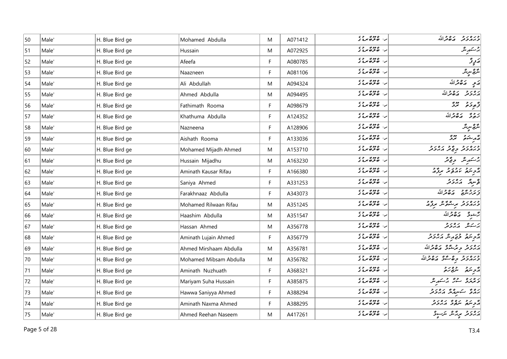| 50 | Male' | H. Blue Bird ge | Mohamed Abdulla        | M           | A071412 | $\frac{c}{5}$ $\frac{c}{5}$ $\frac{c}{5}$ $\frac{c}{5}$ $\frac{c}{5}$ $\frac{c}{5}$ $\frac{c}{5}$ | وره رو ده دالله                                         |
|----|-------|-----------------|------------------------|-------------|---------|---------------------------------------------------------------------------------------------------|---------------------------------------------------------|
| 51 | Male' | H. Blue Bird ge | Hussain                | M           | A072925 | 02 <i>432 0</i><br>ر· ھ <i>ڑھ ب</i> رو ک                                                          | جرسە <sub>م</sub> رىتر                                  |
| 52 | Male' | H. Blue Bird ge | Afeefa                 | $\mathsf F$ | A080785 | ە دوم د ،<br>ر. ھۈھىرە ئ                                                                          | پرَ وِرَّ                                               |
| 53 | Male' | H. Blue Bird ge | Naazneen               | F           | A081106 | ە دوم د ،<br>ر. ھۆھىرى د                                                                          | ئۇچ بىرىگر                                              |
| 54 | Male' | H. Blue Bird ge | Ali Abdullah           | M           | A094324 | 52.520                                                                                            | أصَعِيد صَنْ صَفَرَاللّهَ                               |
| 55 | Male' | H. Blue Bird ge | Ahmed Abdulla          | M           | A094495 | 52.50                                                                                             | برورد بره دالله                                         |
| 56 | Male' | H. Blue Bird ge | Fathimath Rooma        | F           | A098679 | 02 <i>432 0</i><br>ر· ھ <i>ڑھ ب</i> رو ک                                                          | توجوجو برو                                              |
| 57 | Male' | H. Blue Bird ge | Khathuma Abdulla       | F           | A124352 | 52.50                                                                                             | ترجوم وكافدالله                                         |
| 58 | Male' | H. Blue Bird ge | Nazneena               | F           | A128906 | ە دوم د ،<br>ر. ھۈھىرە ئ                                                                          | شرچ سرینگه                                              |
| 59 | Male' | H. Blue Bird ge | Aishath Rooma          | F           | A133036 | ە دوم د ،<br>ر. ھۆھىرى د                                                                          | و در دور<br>مار شو مرو                                  |
| 60 | Male' | H. Blue Bird ge | Mohamed Mijadh Ahmed   | M           | A153710 | $\frac{c}{3}$ $\frac{c}{3}$ $\frac{c}{3}$ $\frac{c}{3}$ $\frac{c}{3}$ $\frac{c}{3}$               | ورەر د پور رەر د                                        |
| 61 | Male' | H. Blue Bird ge | Hussain Mijadhu        | M           | A163230 | 52.520                                                                                            | اير سەر شەھ بەر بەر ئەندار<br>مەسىر بەر بەر بەر بەر ئەن |
| 62 | Male' | H. Blue Bird ge | Aminath Kausar Rifau   | F           | A166380 | ە دوم د ء<br>ر. ھۆھىرى ر                                                                          | أتر شروع المتحدث المرتوح                                |
| 63 | Male' | H. Blue Bird ge | Saniya Ahmed           | $\mathsf F$ | A331253 | 52220                                                                                             | أقي سرق مركز و در و                                     |
| 64 | Male' | H. Blue Bird ge | Farakhnaaz Abdulla     | F           | A343073 | ە دەپرى<br>ر. ھۆھىرە د                                                                            | ويرويوه بره والله                                       |
| 65 | Male' | H. Blue Bird ge | Mohamed Rilwaan Rifau  | M           | A351245 | ە دوم د ،<br>ر. ھۆھىرى د                                                                          | ورەرو برخەشىر بروژ                                      |
| 66 | Male' | H. Blue Bird ge | Haashim Abdulla        | M           | A351547 | 52.520                                                                                            | أتزخوه وكاله تكرالله                                    |
| 67 | Male' | H. Blue Bird ge | Hassan Ahmed           | M           | A356778 | ە دەپرى<br>ر. ھۆھىرە ر                                                                            | پرستمبر مرکز مرد                                        |
| 68 | Male' | H. Blue Bird ge | Aminath Lujain Ahmed   | F           | A356779 | 52.520                                                                                            | أثرم معج وفير مراكب وبروفر                              |
| 69 | Male' | H. Blue Bird ge | Ahmed Mirshaam Abdulla | ${\sf M}$   | A356781 | 5.500                                                                                             | رەرد ويۇھ رەقراللە                                      |
| 70 | Male' | H. Blue Bird ge | Mohamed Mibsam Abdulla | M           | A356782 | 52.50                                                                                             | ورەرو وەرە دەھراللە                                     |
| 71 | Male' | H. Blue Bird ge | Aminath Nuzhuath       | F           | A368321 | ە دوم دى<br>ر. ھۆھىرى ر                                                                           | و ده ده ده.<br>در سره سره ده                            |
| 72 | Male' | H. Blue Bird ge | Mariyam Suha Hussain   | F           | A385875 | 52.50                                                                                             | دەرە دە جەمدىر                                          |
| 73 | Male' | H. Blue Bird ge | Hawwa Saniyya Ahmed    | F           | A388294 | 52.220                                                                                            | بروه کشید و برورد                                       |
| 74 | Male' | H. Blue Bird ge | Aminath Naxma Ahmed    | F           | A388295 | 52.50                                                                                             | و مرد ده و ده د و                                       |
| 75 | Male' | H. Blue Bird ge | Ahmed Reehan Naseem    | ${\sf M}$   | A417261 | $\frac{c}{5}$ $\frac{c}{5}$ $\frac{c}{5}$ $\frac{c}{5}$ $\frac{c}{5}$ $\frac{c}{5}$ $\frac{c}{5}$ | رور پر پر شرید گرسود                                    |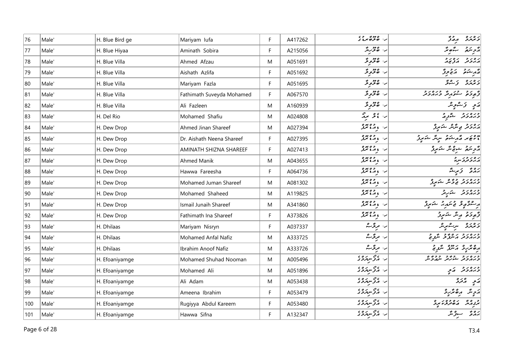| 76           | Male' | H. Blue Bird ge | Mariyam lufa              | F  | A417262 | 52.500                           | ر ه ر ه<br>تر <del>ب</del> ر بر ژ<br>ەدەم |
|--------------|-------|-----------------|---------------------------|----|---------|----------------------------------|-------------------------------------------|
| 77           | Male' | H. Blue Hiyaa   | Aminath Sobira            | F. | A215056 | ر. ھورگ                          | أرجعته بتفقيح                             |
| 78           | Male' | H. Blue Villa   | Ahmed Afzau               | M  | A051691 | ر. ھۆرگە                         | رەرو رەرو                                 |
| 79           | Male' | H. Blue Villa   | Aishath Azlifa            | F. | A051692 | ر. ھۆۋى                          | وكرمشكم وكالمروش                          |
| 80           | Male' | H. Blue Villa   | Mariyam Fazla             | F  | A051695 | ر. ھۆۋى                          | رەرە يەشۇ                                 |
| 81           | Male' | H. Blue Villa   | Fathimath Suveyda Mohamed | F  | A067570 | ر، ھۆرگە                         | و و د د د و د و د و د                     |
| 82           | Male' | H. Blue Villa   | Ali Fazleen               | M  | A160939 | ر. ھۆرگە                         | أريح وكالمحيض                             |
| 83           | Male' | H. Del Rio      | Mohamed Shafiu            | M  | A024808 | ر، کافر مرکز                     | ورەرو شرور                                |
| 84           | Male' | H. Dew Drop     | Ahmed Jinan Shareef       | M  | A027394 | ر. بورومبره<br>ر. بورومبرو       | رەرد <sub>م</sub> وشرىقىدى                |
| 85           | Male' | H. Dew Drop     | Dr. Aishath Neena Shareef | F. | A027395 | بروه برو                         | دە بەر شەھقە سېش ھەمرى                    |
| 86           | Male' | H. Dew Drop     | AMINATH SHIZNA SHAREEF    | F. | A027413 | سروه برو                         | أأوسع شوم شرميرو                          |
| 87           | Male' | H. Dew Drop     | <b>Ahmed Manik</b>        | M  | A043655 | ر، وەبدە                         | גם גבת יתש<br>גגב בגב ייקול               |
| 88           | Male' | H. Dew Drop     | Hawwa Fareesha            | F  | A064736 | ر، ۽ مي جو ه                     | رەپ كېرىش                                 |
| 89           | Male' | H. Dew Drop     | Mohamed Juman Shareef     | M  | A081302 | ر. وه وه برو                     | ورەرو وور خۇمر                            |
| $ 90\rangle$ | Male' | H. Dew Drop     | Mohamed Shaheed           | M  | A119825 | بالموه بمحرو                     | وره رو در در<br>وبردونر شورنر             |
| 91           | Male' | H. Dew Drop     | Ismail Junaih Shareef     | M  | A341860 | ر. بارونده                       | و صحيح و مرد شمېر و                       |
| 92           | Male' | H. Dew Drop     | Fathimath Ina Shareef     | F. | A373826 | ر. بارونامبرو                    | أزُودَة رِسَّ جُهْرٍ                      |
| 93           | Male' | H. Dhilaas      | Mariyam Nisryn            | F  | A037337 |                                  | ويروو الراعبوس                            |
| 94           | Male' | H. Dhilaas      | Mohamed Anfal Nafiz       | M  | A333725 | ر. مرگربہ<br>ر                   | ورەر دېرە دەپرى ئىر                       |
| 95           | Male' | H. Dhilaas      | Ibrahim Anoof Nafiz       | M  | A333726 | ر. مرڱرش                         | مەھەر ئەھمىلا مىلاقى                      |
| 96           | Male' | H. Efoaniyamge  | Mohamed Shuhad Nooman     | M  | A005496 | הי ה <sub>צ</sub> יתו <i>ת כ</i> | ورەر د دەر دەرە.<br>جەمەدىر شەرىر سەرقىر  |
| 97           | Male' | H. Efoaniyamge  | Mohamed Ali               | M  | A051896 | ر. ووسيده و                      | ورەرو كەير                                |
| 98           | Male' | H. Efoaniyamge  | Ali Adam                  | M  | A053438 | ر. وی سروره و                    | أتأمي أتروه                               |
| 99           | Male' | H. Efoaniyamge  | Ameena Ibrahim            | F  | A053479 | ر. وی سرده و                     | ړَ پِسٌ رِهڅُر دُ                         |
| 100          | Male' | H. Efoaniyamge  | Rugiyya Abdul Kareem      | F  | A053480 | ر وه مرده و                      | و و و مرووور برو<br>برومار مان مرکز بر    |
| 101          | Male' | H. Efoaniyamge  | Hawwa Sifna               | F. | A132347 | ر وه مرده و                      | برە ئەسىر ئىگە                            |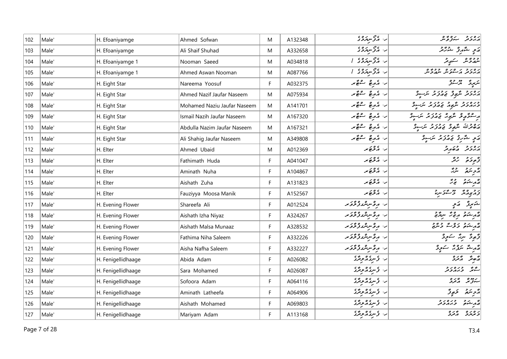| 102 | Male' | H. Efoaniyamge     | Ahmed Sofwan                | M  | A132348 | ה הצייט <i>וב</i> ל                                                                                                                                                                                                                                                                                                 | رەرد رەپەر                                                                                           |
|-----|-------|--------------------|-----------------------------|----|---------|---------------------------------------------------------------------------------------------------------------------------------------------------------------------------------------------------------------------------------------------------------------------------------------------------------------------|------------------------------------------------------------------------------------------------------|
| 103 | Male' | H. Efoaniyamge     | Ali Shaif Shuhad            | M  | A332658 | ر. ووګېږده و                                                                                                                                                                                                                                                                                                        | أرَمِ حَدَّمَ وَحَدَّثَرَ مَدْ                                                                       |
| 104 | Male' | H. Efoaniyamge 1   | Nooman Saeed                | M  | A034818 | ر. وگو سرگروی ا                                                                                                                                                                                                                                                                                                     | وووه درو                                                                                             |
| 105 | Male' | H. Efoaniyamge 1   | Ahmed Aswan Nooman          | M  | A087766 | ر. وگر سرگروی 1                                                                                                                                                                                                                                                                                                     | גם גם גם גם ככלם<br>הגבת ה-יפית יינגבית                                                              |
| 106 | Male' | H. Eight Star      | Nareema Yoosuf              | F  | A032375 | ر. كەرق سۇنجىر                                                                                                                                                                                                                                                                                                      | انتز پر پیچھ دورہ<br>انتز پر پیچ د                                                                   |
| 107 | Male' | H. Eight Star      | Ahmed Nazif Jaufar Naseem   | M  | A075934 | $\mathcal{L}_{\mathcal{B}}^{\mathcal{E}}\mathcal{L}_{\mathcal{B}}^{\mathcal{E}}=\mathcal{L}_{\mathcal{B}}^{\mathcal{E}}\mathcal{L}_{\mathcal{E}}^{\mathcal{E}}$                                                                                                                                                     | גפני תו ביורד ביותר ביותר                                                                            |
| 108 | Male' | H. Eight Star      | Mohamed Naziu Jaufar Naseem | M  | A141701 | $\frac{1}{2}$ $\frac{1}{2}$ $\frac{1}{2}$ $\frac{1}{2}$ $\frac{1}{2}$ $\frac{1}{2}$ $\frac{1}{2}$ $\frac{1}{2}$ $\frac{1}{2}$ $\frac{1}{2}$ $\frac{1}{2}$ $\frac{1}{2}$ $\frac{1}{2}$ $\frac{1}{2}$ $\frac{1}{2}$ $\frac{1}{2}$ $\frac{1}{2}$ $\frac{1}{2}$ $\frac{1}{2}$ $\frac{1}{2}$ $\frac{1}{2}$ $\frac{1}{2}$ | כנסנכ תאם שהציג תי-פ                                                                                 |
| 109 | Male' | H. Eight Star      | Ismail Nazih Jaufar Naseem  | M  | A167320 | $\left  \begin{array}{cc} \mathcal{L}_{\mathbf{p}} & \mathcal{L}_{\mathbf{p}} & \mathcal{L}_{\mathbf{p}} \\ \mathcal{L}_{\mathbf{p}} & \mathcal{L}_{\mathbf{p}} & \mathcal{L}_{\mathbf{p}} \end{array} \right $                                                                                                     | ر مو الله عن الله علم الله الله عن الله عن الله عن الله عن الله عن الله عن الله عن الله عن الله عن ا |
| 110 | Male' | H. Eight Star      | Abdulla Nazim Jaufar Naseem | M  | A167321 | $\sim$ $\frac{2}{3}$ $\sim$ $\frac{2}{3}$ $\sim$                                                                                                                                                                                                                                                                    | رَحْمْرَاللَّهُ مُرَّمُودٌ مَ <i>حْمَدُ مَنْ</i> سَرَسِودُ                                           |
| 111 | Male' | H. Eight Star      | Ali Shahig Jaufar Naseem    | M  | A349808 | $\sim$ $\frac{1}{2}$ $\frac{1}{2}$ $\sim$ $\frac{1}{2}$                                                                                                                                                                                                                                                             | أَرَمِ الشَّرِةِ - وَأَرْثَرُ الرَّسِيطُ                                                             |
| 112 | Male' | H. Elter           | Ahmed Ubaid                 | M  | A012369 | ر، گەنۇبىر                                                                                                                                                                                                                                                                                                          | גפינ בבני                                                                                            |
| 113 | Male' | H. Elter           | Fathimath Huda              | F  | A041047 | ر به ور                                                                                                                                                                                                                                                                                                             | أوالمحمد والمحمد                                                                                     |
| 114 | Male' | H. Elter           | Aminath Nuha                | F  | A104867 | ر په دې بر                                                                                                                                                                                                                                                                                                          | ړ څر سرچ<br>سرتر                                                                                     |
| 115 | Male' | H. Elter           | Aishath Zuha                | F  | A131823 | ر ، د ژوئم بر                                                                                                                                                                                                                                                                                                       | وكرمشتم بمحر                                                                                         |
| 116 | Male' | H. Elter           | Fauziyya Moosa Manik        | F  | A152567 | ر به دوبر                                                                                                                                                                                                                                                                                                           | צומו בילו ביו לביות ב                                                                                |
| 117 | Male' | H. Evening Flower  | Shareefa Ali                | F  | A012524 | ر . مەھسىگىدۇ ئەقەس                                                                                                                                                                                                                                                                                                 | شەمورتى<br>ەتىر                                                                                      |
| 118 | Male' | H. Evening Flower  | Aishath Izha Niyaz          | F  | A324267 | ر . مەھ سرىسى ئۇ ئۇ ئەس                                                                                                                                                                                                                                                                                             | הו לכל היל יידו                                                                                      |
| 119 | Male' | H. Evening Flower  | Aishath Malsa Munaaz        | F  | A328532 | ر . مەھسىندى ئەھمە                                                                                                                                                                                                                                                                                                  | و ديده د ورځ د ده د                                                                                  |
| 120 | Male' | H. Evening Flower  | Fathima Niha Saleem         | F  | A332226 | ر . مەھسىگە ۋىچە ئىر                                                                                                                                                                                                                                                                                                | ۇ <sub>جو</sub> ۇ بىر <i>گ سۇچ</i> ۇ                                                                 |
| 121 | Male' | H. Evening Flower  | Aisha Nafha Saleem          | F  | A332227 | ر . مەھسىگىدۇ ئەقەس                                                                                                                                                                                                                                                                                                 | ۇرغ ئۆڭ ئېچى                                                                                         |
| 122 | Male' | H. Fenigellidhaage | Abida Adam                  | F  | A026082 | ر. ۇسقەم قرقرى                                                                                                                                                                                                                                                                                                      | ړُه پَر پره                                                                                          |
| 123 | Male' | H. Fenigellidhaage | Sara Mohamed                | F  | A026087 | ر و تره و قرقری                                                                                                                                                                                                                                                                                                     | كشفي وره د و                                                                                         |
| 124 | Male' | H. Fenigellidhaage | Sofoora Adam                | F  | A064116 | ر. ۇسۇم مۇمۇ                                                                                                                                                                                                                                                                                                        | ردور پره<br><i>سوؤ</i> ند گ <i>ر</i> ترو                                                             |
| 125 | Male' | H. Fenigellidhaage | Aminath Latheefa            | F  | A064906 | ر. ۇسۇۋمۇقرۇ                                                                                                                                                                                                                                                                                                        | ג و سَعة سَ حَبِي وَ                                                                                 |
| 126 | Male' | H. Fenigellidhaage | Aishath Mohamed             | F. | A069803 | ر. ۇسرەم دېرە                                                                                                                                                                                                                                                                                                       | و ره ر و<br><i>و ټ</i> رو تر<br>لقرمر ينسوهم                                                         |
| 127 | Male' | H. Fenigellidhaage | Mariyam Adam                | F  | A113168 | ر. ۇسرەم دېرى                                                                                                                                                                                                                                                                                                       | ر ם ر ם "ב ב ס<br>5 <i>ב יציר</i> ב                                                                  |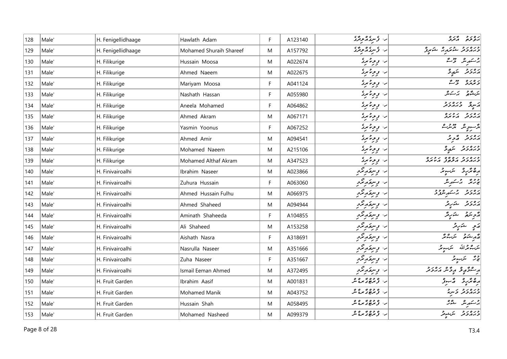| 128 | Male' | H. Fenigellidhaage | Hawlath Adam            | F  | A123140 | ر. ئۈسكەم ئوقرى  | رەر دىرە                                          |
|-----|-------|--------------------|-------------------------|----|---------|------------------|---------------------------------------------------|
| 129 | Male' | H. Fenigellidhaage | Mohamed Shuraih Shareef | M  | A157792 | ر. ئۇسكەم ئەرگە  | ورەرو خىمرى خىرو                                  |
| 130 | Male' | H. Filikurige      | Hussain Moosa           | M  | A022674 | ر و د پرې        | پرستمبر میں حرمت                                  |
| 131 | Male' | H. Filikurige      | Ahmed Naeem             | M  | A022675 | ر و د پرې        | أرەر ئەرە                                         |
| 132 | Male' | H. Filikurige      | Mariyam Moosa           | F  | A041124 | ر. و و رو برد    | ر ه ر ه<br><del>د</del> بربرد<br>حر مستر          |
| 133 | Male' | H. Filikurige      | Nashath Hassan          | F. | A055980 | ر. و دینمبرد     | للركافي الركاس                                    |
| 134 | Male' | H. Filikurige      | Aneela Mohamed          | F  | A064862 | ر. و دیگری       | كەسپۇ دىرەرد                                      |
| 135 | Male' | H. Filikurige      | Ahmed Akram             | M  | A067171 | ر و در مرد       | גפיק גליק                                         |
| 136 | Male' | H. Filikurige      | Yasmin Yoonus           | F  | A067252 | ر و در مرد       |                                                   |
| 137 | Male' | H. Filikurige      | Ahmed Amir              | M  | A094541 | ر و دیگری        | أرور و و و                                        |
| 138 | Male' | H. Filikurige      | Mohamed Naeem           | M  | A215106 | ر و د پرې        | ورەرو شھرى                                        |
| 139 | Male' | H. Filikurige      | Mohamed Althaf Akram    | M  | A347523 | ر و دیگری        | כנהג כ נהגה נכנה<br>בגהבת ה <del>ל</del> פל הטיבב |
| 140 | Male' | H. Finivairoalhi   | Ibrahim Naseer          | M  | A023866 | ر وسفه چې        | رەتزر ئىبوتر                                      |
| 141 | Male' | H. Finivairoalhi   | Zuhura Hussain          | F  | A063060 | ر و سوړيږ        | ى ئەتتىر بىر ئەسكىر بىر                           |
| 142 | Male' | H. Finivairoalhi   | Ahmed Hussain Fulhu     | M  | A066975 | ر و سرعه برعو    | رەرو جەسەر مود                                    |
| 143 | Male' | H. Finivairoalhi   | Ahmed Shaheed           | M  | A094944 | ر وسفه برو       | پروتر خریر                                        |
| 144 | Male' | H. Finivairoalhi   | Aminath Shaheeda        | F  | A104855 | ر وسعد پرې       | أأترجع المفرقر                                    |
| 145 | Male' | H. Finivairoalhi   | Ali Shaheed             | M  | A153258 | ر و پیرو برعز    | أركمني المستكر وتر                                |
| 146 | Male' | H. Finivairoalhi   | Aishath Nasra           | F  | A318691 | ر و سعد برد      | ۇرىشكى ئىر قائد                                   |
| 147 | Male' | H. Finivairoalhi   | Nasrulla Naseer         | M  | A351666 | ر· و سرعه مرغرمه | مترجو جرالله مترسوجر                              |
| 148 | Male' | H. Finivairoalhi   | Zuha Naseer             | F  | A351667 | ر وسفه چې        | وم س <i>مب</i> وتر                                |
| 149 | Male' | H. Finivairoalhi   | Ismail Eeman Ahmed      | M  | A372495 | ر و بېرغه برېږ   | ړ ه څوکړو پروتر ټرونر                             |
| 150 | Male' | H. Fruit Garden    | Ibrahim Aasif           | M  | A001831 | ر. ووه د و و و   | أرەنزىر ئەسىر                                     |
| 151 | Male' | H. Fruit Garden    | Mohamed Manik           | M  | A043752 | ر و ده و و و و   | כנים גב גיינו                                     |
| 152 | Male' | H. Fruit Garden    | Hussain Shah            | M  | A058495 | ر. وروه می ور    | جر سەر سىر ئىش <sup>ى</sup> ر ئىش                 |
| 153 | Male' | H. Fruit Garden    | Mohamed Nasheed         | M  | A099379 | ر. و ده و مره مر | ورەرو شەير                                        |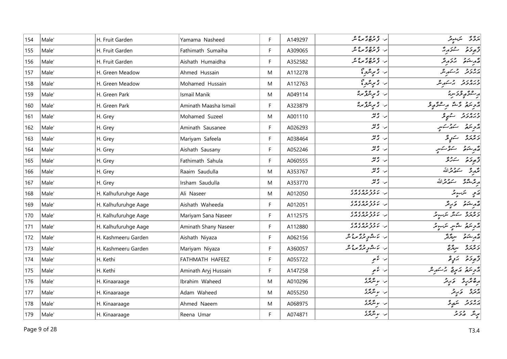|       |                      |                       |                |                  |                        | أترومج الكريشوقر                                                                                          |
|-------|----------------------|-----------------------|----------------|------------------|------------------------|-----------------------------------------------------------------------------------------------------------|
|       | H. Fruit Garden      | Fathimath Sumaiha     |                |                  | ر. و ده و مره مر       | أوجوحو المتورية                                                                                           |
| Male' | H. Fruit Garden      | Aishath Humaidha      | F              | A352582          | ر و ده و و ه و         | مەر شىم ئەرەر                                                                                             |
| Male' | H. Green Meadow      | Ahmed Hussain         | M              | A112278          |                        | رەرد جەكىرىش                                                                                              |
| Male' | H. Green Meadow      | Mohamed Hussain       | M              | A112763          |                        | ورەرو پرسىمەش                                                                                             |
| Male' | H. Green Park        | Ismail Manik          | M              | A049114          | ر، ومرسر مر            | ە سى <i>ۋۇچۇ</i> سىد                                                                                      |
| Male' | H. Green Park        | Aminath Maasha Ismail | $\mathsf F$    | A323879          | ر ، د مړينرو مرين      | أزوينهم وحش وبالمؤولو                                                                                     |
| Male' | H. Grey              | Mohamed Suzeel        | M              | A001110          | ر. ه می                | ورەرو گەرو                                                                                                |
| Male' | H. Grey              | Aminath Sausanee      | F              | A026293          | ر په عی                |                                                                                                           |
| Male' | H. Grey              | Mariyam Safeela       | F.             | A038464          | ە ئەتە<br>ر. كەمىر     | د ه د و گروگر                                                                                             |
| Male' | H. Grey              | Aishath Sausany       | F              | A052246          | ر. ه می                | و ديدو ده کمک په                                                                                          |
| Male' | H. Grey              | Fathimath Sahula      | $\mathsf{F}$   | A060555          | ر په عی                | ۇروە سەرۋ                                                                                                 |
| Male' | H. Grey              | Raaim Saudulla        | M              | A353767          | ر. ه می                | بَرَّمَرَ حَقَّدَ اللَّهُ                                                                                 |
| Male' | H. Grey              | Irsham Saudulla       | M              | A353770          | ە ئەتە<br>ر. كەمىر     | مرعمشقر كروتمرالله                                                                                        |
| Male' | H. Kalhufuruhge Aage | Ali Naseer            | ${\sf M}$      | A012050          |                        | أوسمح الكرسية مترا                                                                                        |
| Male' | H. Kalhufuruhge Aage | Aishath Waheeda       | F              | A012051          |                        | مەرشىقى ئۈرلىگە                                                                                           |
| Male' | H. Kalhufuruhge Aage | Mariyam Sana Naseer   | F              | A112575          |                        | رەرە بەش سەسى                                                                                             |
| Male' | H. Kalhufuruhge Aage | Aminath Shany Naseer  | F              | A112880          |                        |                                                                                                           |
| Male' | H. Kashmeeru Garden  | Aishath Niyaza        | F              | A062156          | ر، ئۈشۈچە ئەممۇمىر     | أقرم شوقو سيترقر                                                                                          |
| Male' | H. Kashmeeru Garden  | Mariyam Niyaza        | F.             | A360057          | ر، ئۈشۈچە ئەتمەتمەتلەر | ر ه ر ه<br><del>ر</del> بربرگر<br>سرتريخ                                                                  |
| Male' | H. Kethi             | FATHMATH HAFEEZ       | F.             | A055722          |                        | وَّمِوَدَةٌ يَرْدٍ لَهُ                                                                                   |
| Male' | H. Kethi             | Aminath Aryj Hussain  | $\mathsf F$    | A147258          |                        | أزويته أيبيقى برسكريش                                                                                     |
| Male' | H. Kinaaraage        | Ibrahim Waheed        | M              | A010296          | ر ما مگریزی            | رە ئرىر ئىرىر                                                                                             |
| Male' | H. Kinaaraage        | Adam Waheed           | M              | A055250          | ر. په مترتبری          | أرمزو كالمرمز                                                                                             |
| Male' | H. Kinaaraage        | Ahmed Naeem           | M              | A068975          |                        | پر و پر و<br>سَمِرِ و                                                                                     |
| Male' | H. Kinaaraage        | Reena Umar            | $\mathsf F$    | A074871          |                        | ىرىگە ئەۋىر                                                                                               |
|       | Male'<br>Male'       | H. Fruit Garden       | Yamama Nasheed | F<br>$\mathsf F$ | A149297<br>A309065     | ر، وروء مره م<br>ر. ۇ پرىئرچ<br>ر. د مړينو په<br>ابن مقهج<br>بربهمو<br>ار.<br>په موندۍ<br>ار، پرېنوي<br>— |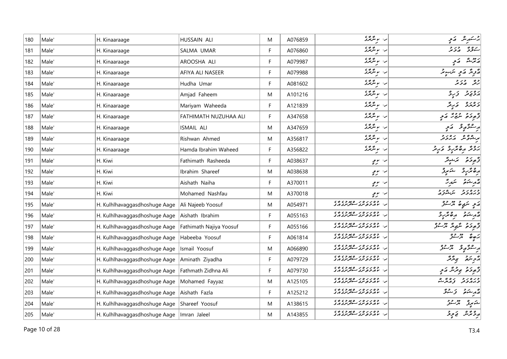| 180 | Male' | H. Kinaaraage                                | HUSSAIN ALI             | M  | A076859 | ر ۱ مارچوي                                                    | يز سكهر شكر كاركر                         |
|-----|-------|----------------------------------------------|-------------------------|----|---------|---------------------------------------------------------------|-------------------------------------------|
| 181 | Male' | H. Kinaaraage                                | SALMA UMAR              | F. | A076860 | ر . ما متر پوځ                                                | سەدى<br>ور و<br>در تر                     |
| 182 | Male' | H. Kinaaraage                                | AROOSHA ALI             | F. | A079987 | ر . ما متر پو <sup>ر</sup> ه                                  | ىر جو ئەيگە<br>مەنبۇرىشى<br>رځمنو         |
| 183 | Male' | H. Kinaaraage                                | AFIYA ALI NASEER        | F  | A079988 | ر . ما مترتبری                                                | ړونه ډې تربېر                             |
| 184 | Male' | H. Kinaaraage                                | Hudha Umar              | F  | A081602 | ر . ما متوجری                                                 | وه ورو<br>رنگ م <i>د</i> ونر              |
| 185 | Male' | H. Kinaaraage                                | Amjad Faheem            | M  | A101216 | ر . ما متوجری                                                 | برەر ئەرۋ                                 |
| 186 | Male' | H. Kinaaraage                                | Mariyam Waheeda         | F  | A121839 | ر . ما متر پو <sup>ر</sup> ه                                  | ر ه ر ه<br><del>ر</del> بربرگر<br>ى برىتر |
| 187 | Male' | H. Kinaaraage                                | FATHIMATH NUZUHAA ALI   | F. | A347658 | ر . ما متریو پر                                               | توجوحو سيئ كمي                            |
| 188 | Male' | H. Kinaaraage                                | <b>ISMAIL ALI</b>       | M  | A347659 | ر . ما متوجری                                                 | الرشتوني ويمنح                            |
| 189 | Male' | H. Kinaaraage                                | Rishwan Ahmed           | M  | A356817 | ر. پرسرچری                                                    | ره ده در در د<br>پرشورش م.پروتر           |
| 190 | Male' | H. Kinaaraage                                | Hamda Ibrahim Waheed    | F. | A356822 | ر . ما متر پو <sup>ر</sup> ه                                  | بروند مصريره وبرد                         |
| 191 | Male' | H. Kiwi                                      | Fathimath Rasheeda      | F  | A038637 | ر موج                                                         | ۇ بوخ <sup>ى</sup><br>ىمەشەقە             |
| 192 | Male' | H. Kiwi                                      | Ibrahim Shareef         | M  | A038638 | ىرەپە                                                         | رە ئۈرۈ<br>شەمرى                          |
| 193 | Male' | H. Kiwi                                      | Aishath Naiha           | F  | A370011 | موج<br>مربح                                                   | پە<br>تەر شەھ<br>ستەرج                    |
| 194 | Male' | H. Kiwi                                      | Mohamed Nashfau         | M  | A370018 | ىر ھ                                                          | و ر ه ر د<br>د بر پر تر<br>ىئەرشۇ ئەر     |
| 195 | Male' | H. Kulhlhavaggasdhoshuge Aage                | Ali Najeeb Yoosuf       | M  | A054971 | وه بربره بر ه پروه پره<br>ب- موبر بوبر بر سوتربری پری         | ړنې سر <sub>م</sub> ې ه تر دو             |
| 196 | Male' | H. Kulhlhavaggasdhoshuge Aage                | Aishath Ibrahim         | F  | A055163 | وه ر ر ه ر ه و و و و و و<br>ر ۰ مه بر تو بر و سوتتر تر پر و   | ومرشوم مقتررة                             |
| 197 | Male' | H. Kulhlhavaggasdhoshuge Aage                | Fathimath Najiya Yoosuf | F  | A055166 | وه بر بر ه بر و ه پرو د پر د<br>ر۰ بر بربر بر بر بر بر بر بر  | ۇ بۇ ئەھم ئەھم بىر مەر دە                 |
| 198 | Male' | H. Kulhlhavaggasdhoshuge Aage                | Habeeba Yoosuf          | F. | A061814 | د ۲۵ دره د ۵ پروه وه<br>ر۰ ماه نوع نور سوترنوره ور            | برُحدة وربور                              |
| 199 | Male' | H. Kulhlhavaggasdhoshuge Aage                | Ismail Yoosuf           | M  | A066890 | وه د د ه د ر ه د و د د د د<br>د ۱ ما پرتونو تری سوتونوی پری   | ىر مەنز <sub>ىي</sub> رتى<br>س<br>ېزىستۇ  |
| 200 | Male' | H. Kulhlhavaggasdhoshuge Aage                | Aminath Ziyadha         | F  | A079729 | وه بر بر ه بر و ه پرو د پر د<br>ر۰ بر بربر بر بر بر بر بر بر  | ۇ ئەسكە ئەرەم                             |
| 201 | Male' | H. Kulhlhavaggasdhoshuge Aage                | Fathmath Zidhna Ali     | F  | A079730 | وه د ره د ه د و د د د د<br>د ۱ مه د و ترو سوترنزو پرو         | ژُودَهُ یا ژُندُ مَیْ                     |
| 202 | Male' | H. Kulhlhavaggasdhoshuge Aage                | Mohamed Fayyaz          | M  | A125105 | وه ر ر ه ر ه ه و د ه د »<br>ر۰ عامر نوح مری سوتورسی پری       | ورەر دەرە دەر<br><i>جەم</i> ەدىر ۋەبرىش   |
| 203 | Male' | H. Kulhlhavaggasdhoshuge Aage                | Aishath Fazla           | F. | A125212 | د ۲۵ دره د ۵ پروه وه<br>ر۰ ماه نوع نور سوترنوره ور            | دُرڪو ترڪڙ                                |
| 204 | Male' | H. Kulhlhavaggasdhoshuge Aage                | Shareef Yoosuf          | M  | A138615 | وه بر بر ه بر و ه پرو د په د<br>ب ۱ مه بر بر بور بر سوتر بر پ | در مسرو<br>مرگ<br>شەمرىژ                  |
| 205 | Male' | H. Kulhlhavaggasdhoshuge Aage   Imran Jaleel |                         | M  | A143855 | وه ر ر ه ر ه ه و د و ه د<br>ر ۰ مه بر نو و بری سوتوری بری     | رە ئەر ئەر                                |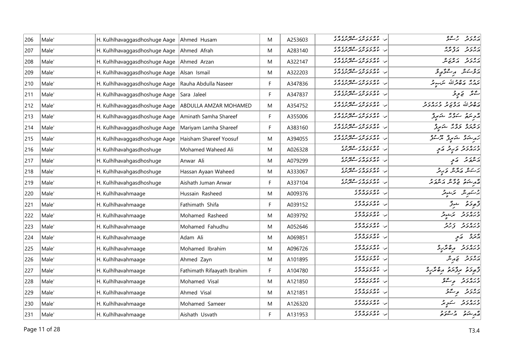| 206 | Male' | H. Kulhlhavaggasdhoshuge Aage | Ahmed Husam                  | M | A253603 | د ۱۵۶ ده د ۵ پوده و د کار<br>د ۱۸ در نوم تری سوتورو در د       | ړه رو وروو                                                  |
|-----|-------|-------------------------------|------------------------------|---|---------|----------------------------------------------------------------|-------------------------------------------------------------|
| 207 | Male' | H. Kulhlhavaggasdhoshuge Aage | Ahmed Afrah                  | M | A283140 | وه د ره د ه د و د د د د<br>ر۰ عامد نوح مرد سوتوربو در د        | پره پره<br>پروتوپر<br>پروژو                                 |
| 208 | Male' | H. Kulhlhavaggasdhoshuge Aage | Ahmed Arzan                  | M | A322147 | وه د ره د ه د و د د د د<br>ر۰ عامد نوح مرد سوتوربو در د        | גפיל גפציל                                                  |
| 209 | Male' | H. Kulhlhavaggasdhoshuge Aage | Alsan Ismail                 | M | A322203 | د ۲۵ در ده د ۲۵ د د د د د<br>ر۰ مه در نوم د کسوتورو د د        | روىس مەشترەپ                                                |
| 210 | Male' | H. Kulhlhavaggasdhoshuge Aage | Rauha Abdulla Naseer         | F | A347836 | وه د ره د ه د و د و د د<br>د ۱ ماه ندو نوی سوتونوی ه ی         | برویه بره والله مترجونز                                     |
| 211 | Male' | H. Kulhlhavaggasdhoshuge Aage | Sara Jaleel                  | F | A347837 | وه د ره د ه د و د د د د<br>د ۱ مهر نوع د سوتر ترو پرو          | رشمگر الاخترانی                                             |
| 212 | Male' | H. Kulhlhavaggasdhoshuge Aage | <b>ABDULLA AMZAR MOHAMED</b> | M | A354752 | وه د ره د ه د و د د د د<br>د ۱ مهر نوع د سوتر ترو پرو          | ره د الله بره ر د د دره ر د<br>پره ترالله برد بر د بربرد تر |
| 213 | Male' | H. Kulhlhavaggasdhoshuge Aage | Aminath Samha Shareef        | F | A355006 | د ۲۵ در ده د ۲۵ ده د د د د<br>ر۰ مه در نورو سوتر ترو برو       | مەھ سىز ئىسىمى                                              |
| 214 | Male' | H. Kulhlhavaggasdhoshuge Aage | Mariyam Lamha Shareef        | F | A383160 | وه د ره د ه د و د د د د<br>ر۰ عامرتونو د سوتورو در             | رەرە رەپ شەير                                               |
| 215 | Male' | H. Kulhlhavaggasdhoshuge Aage | Haisham Shareef Yoosuf       | M | A394055 | وه د ره د ره پووه ده د<br>د ۱ ماه نوع نوی سوتونوی ه ی          | <i>ر<sub>ا</sub>ړ</i> ىشكى ئىشتو ھاردو ھ                    |
| 216 | Male' | H. Kulhlhavahgasdhoshuge      | Mohamed Waheed Ali           | M | A026328 | و ہ د د ہ د ہ ہ د د ہ<br>ر ب ماہر لواہ کی سوتورس               | ورەرو كېرىژ كەي                                             |
| 217 | Male' | H. Kulhlhavahgasdhoshuge      | Anwar Ali                    | M | A079299 | و ہ د ر د ہ د د د د د د<br>ر ۰ ما پر نوبری سوترس               | مگرونجر المجمع                                              |
| 218 | Male' | H. Kulhlhavahgasdhoshuge      | Hassan Ayaan Waheed          | M | A333067 | و ہ د بر ہ بر ہ ہ د و ء<br>ب سماج بوجہ تہ سوتر س               | يُرَسَوْرُ مِرْمُرْ وَبِرِيْرِ                              |
| 219 | Male' | H. Kulhlhavahgasdhoshuge      | Aishath Juman Anwar          | F | A337104 | و ہ د ر د ہ د د د د د د<br>ر ۰ ما پر نوبری سوترس               | ه د شکوه ده و د و د و                                       |
| 220 | Male' | H. Kulhlhavahmaage            | Hussain Rasheed              | M | A009376 | c <i>� o &gt; &gt; o &gt;</i><br>S P A <del>D Y</del> A V · -> | يز سكور مركب الكر من المحر وتر                              |
| 221 | Male' | H. Kulhlhavahmaage            | Fathimath Shifa              | F | A039152 |                                                                | ژوده سرژ                                                    |
| 222 | Male' | H. Kulhlhavahmaage            | Mohamed Rasheed              | M | A039792 | כם קרם שי<br>היא תיפו <i>ר</i> ד                               | ورەرو كەشەتر                                                |
| 223 | Male' | H. Kulhlhavahmaage            | Mohamed Fahudhu              | M | A052646 | د وه د ده و د و<br>ر۰ ماه لمرحواد و                            | وره رو دوو<br><i>وبروونر ور</i> تر                          |
| 224 | Male' | H. Kulhlhavahmaage            | Adam Ali                     | M | A069851 | c s o v v o v<br>5 P N P Y N V V                               | پروژ کامی                                                   |
| 225 | Male' | H. Kulhlhavahmaage            | Mohamed Ibrahim              | M | A096726 |                                                                | و ر ه ر د<br>د بر پر تر<br>ىر <i>ھىتر ب</i>                 |
| 226 | Male' | H. Kulhlhavahmaage            | Ahmed Zayn                   | M | A101895 |                                                                | رەرو يەر                                                    |
| 227 | Male' | H. Kulhlhavahmaage            | Fathimath Rifaayath Ibrahim  | F | A104780 |                                                                | وجوده برومره معتبر                                          |
| 228 | Male' | H. Kulhlhavahmaage            | Mohamed Visal                | M | A121850 |                                                                | ورەر وشۇ                                                    |
| 229 | Male' | H. Kulhlhavahmaage            | Ahmed Visal                  | M | A121851 | - <i>- - - - - -</i><br>ر· ما <i>د بل و د 5 د</i>              | رەرد ھىشۇ                                                   |
| 230 | Male' | H. Kulhlhavahmaage            | Mohamed Sameer               | M | A126320 | د وه د ده و د و<br>ر۰ ماه نوح ه و د                            | و رە ر د<br>تر پر تر تر<br>سكوبر                            |
| 231 | Male' | H. Kulhlhavahmaage            | Aishath Usvath               | F | A131953 | כם קרם שי<br>קיי מה גם הכב                                     |                                                             |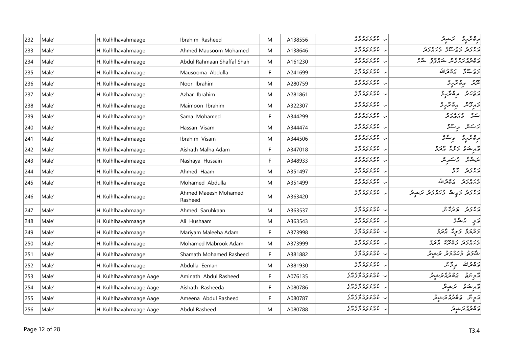| 232 | Male' | H. Kulhlhavahmaage      | Ibrahim Rasheed                 | M         | A138556 | כם גים בים<br>גיעות שבו <i>ני</i> פיב                                                                                                                                                                                                                                                                                                                                                                                                                                                | أرە ئۇرۇ سىيەتى                                            |
|-----|-------|-------------------------|---------------------------------|-----------|---------|--------------------------------------------------------------------------------------------------------------------------------------------------------------------------------------------------------------------------------------------------------------------------------------------------------------------------------------------------------------------------------------------------------------------------------------------------------------------------------------|------------------------------------------------------------|
| 233 | Male' | H. Kulhlhavahmaage      | Ahmed Mausoom Mohamed           | M         | A138646 | وه ر ره و د<br>ر۰ ماړو کرد و                                                                                                                                                                                                                                                                                                                                                                                                                                                         | נסג כ ג כ ככם יכגסג כ<br>הגבת כה — יב יכגה כת              |
| 234 | Male' | H. Kulhlhavahmaage      | Abdul Rahmaan Shaffaf Shah      | M         | A161230 | د وه د ره و و و<br>ر۰ موهر و د و د                                                                                                                                                                                                                                                                                                                                                                                                                                                   | ره ده ده ده مده ده وه.<br>پره تربر بربر سر شوبر تو تر شوبر |
| 235 | Male' | H. Kulhlhavahmaage      | Mausooma Abdulla                | F         | A241699 | כסגגם ב-2<br>ה' מה <i>ג</i> סה <i>כ</i> ז                                                                                                                                                                                                                                                                                                                                                                                                                                            | رو دور رووالله                                             |
| 236 | Male' | H. Kulhlhavahmaage      | Noor Ibrahim                    | M         | A280759 | כסגגם ב-2<br>ה' מהיכתוב ב                                                                                                                                                                                                                                                                                                                                                                                                                                                            | מד הם <i>לגי</i> ב                                         |
| 237 | Male' | H. Kulhlhavahmaage      | Azhar Ibrahim                   | M         | A281861 | כסגגם ב-2<br>ה' מה <i>ג</i> סה <i>כ</i> ז                                                                                                                                                                                                                                                                                                                                                                                                                                            | ەھ تررۈ<br>ىر جەسىر<br>مەسىرىكىتىر                         |
| 238 | Male' | H. Kulhlhavahmaage      | Maimoon Ibrahim                 | M         | A322307 | כסגגם ב-2<br>ה' מה <i>ג</i> סה <i>כ</i> ז                                                                                                                                                                                                                                                                                                                                                                                                                                            | ەھ تررۈ<br>ىر دو ھ                                         |
| 239 | Male' | H. Kulhlhavahmaage      | Sama Mohamed                    | F         | A344299 |                                                                                                                                                                                                                                                                                                                                                                                                                                                                                      | شەيق ھەرەر ج                                               |
| 240 | Male' | H. Kulhlhavahmaage      | Hassan Visam                    | M         | A344474 | c <i>� o &gt; &gt; o &gt;</i><br>> <i>&gt; ^ ^ ^ ^ ^ ^</i>                                                                                                                                                                                                                                                                                                                                                                                                                           | يُرَسَسْ وِسَنَّوْ                                         |
| 241 | Male' | H. Kulhlhavahmaage      | Ibrahim Visam                   | M         | A344506 | כסגגם 4 2<br>הי מה <i>ג</i> סה <i>כ</i> צ                                                                                                                                                                                                                                                                                                                                                                                                                                            | أرەنزىر وسۇ                                                |
| 242 | Male' | H. Kulhlhavahmaage      | Aishath Malha Adam              | F         | A347018 |                                                                                                                                                                                                                                                                                                                                                                                                                                                                                      | ه د شو و ده بو بوده<br>هم شوه و و بر مرتور                 |
| 243 | Male' | H. Kulhlhavahmaage      | Nashaya Hussain                 | F         | A348933 | وه ر ره و د<br>ر۰ ما پر نوچ پر تر                                                                                                                                                                                                                                                                                                                                                                                                                                                    | سَرَجَيْشَ بِرْسَمَ سُر                                    |
| 244 | Male' | H. Kulhlhavahmaage      | Ahmed Haam                      | M         | A351497 | כם גים בים<br>גיעות שבו <i>ני</i> פיב                                                                                                                                                                                                                                                                                                                                                                                                                                                | رەر دە                                                     |
| 245 | Male' | H. Kulhlhavahmaage      | Mohamed Abdulla                 | M         | A351499 | כם גים בים<br>גיעות שבו <i>ני</i> פיב                                                                                                                                                                                                                                                                                                                                                                                                                                                | وره رو ده دالله                                            |
| 246 | Male' | H. Kulhlhavahmaage      | Ahmed Maeesh Mohamed<br>Rasheed | M         | A363420 | c <i>� o &gt; &gt; o &gt;</i><br>> <i>&gt; ^ ^ ^ ^ ^ ^</i>                                                                                                                                                                                                                                                                                                                                                                                                                           | رەرد ریە درەرد پردور                                       |
| 247 | Male' | H. Kulhlhavahmaage      | Ahmed Saruhkaan                 | ${\sf M}$ | A363537 |                                                                                                                                                                                                                                                                                                                                                                                                                                                                                      | رەرد روپر                                                  |
| 248 | Male' | H. Kulhlhavahmaage      | Ali Hushaam                     | M         | A363543 |                                                                                                                                                                                                                                                                                                                                                                                                                                                                                      | پر پر پر چ                                                 |
| 249 | Male' | H. Kulhlhavahmaage      | Mariyam Maleeha Adam            | F         | A373998 | - <i>0000000</i><br>ر· ما <i>مرنو</i> ه <i>ورو</i> ر                                                                                                                                                                                                                                                                                                                                                                                                                                 | أد وره و ديگر اړوره                                        |
| 250 | Male' | H. Kulhlhavahmaage      | Mohamed Mabrook Adam            | M         | A373999 | כסגגם 4 2<br>הי מה <i>ג</i> סה <i>כ</i> צ                                                                                                                                                                                                                                                                                                                                                                                                                                            | כנסנכ נסמם שנם<br>קמתכת כסמט התכ                           |
| 251 | Male' | H. Kulhlhavahmaage      | Shamath Mohamed Rasheed         | F         | A381882 | c <i>� o &gt; &gt; o &gt;</i><br>> <i>&gt; ^ ^ ^ ^ ^ ^ &gt;</i>                                                                                                                                                                                                                                                                                                                                                                                                                      | عرد و دره د و برخونه<br>مشوره وبرودته برخونه               |
| 252 | Male' | H. Kulhlhavahmaage      | Abdulla Eeman                   | M         | A381930 | כסגגם ב-2<br>ה' מה <i>ג</i> סה <i>כ</i> ז                                                                                                                                                                                                                                                                                                                                                                                                                                            | أصفعهالله ويحته                                            |
| 253 | Male' | H. Kulhlhavahmaage Aage | Aminath Abdul Rasheed           | F         | A076135 |                                                                                                                                                                                                                                                                                                                                                                                                                                                                                      | گر سکتر ده وه مرشوند                                       |
| 254 | Male' | H. Kulhlhavahmaage Aage | Aishath Rasheeda                | F         | A080786 | $\begin{array}{lll} c@>{\small{\sim}}c@>{\small{\sim}}c@>{\small{\sim}}c@>{\small{\sim}}c@>{\small{\sim}}c@>{\small{\sim}}c@>{\small{\sim}}c@>{\small{\sim}}c@>{\small{\sim}}c@>{\small{\sim}}c@>{\small{\sim}}c@>{\small{\sim}}c@>{\small{\sim}}c@>{\small{\sim}}c@>{\small{\sim}}c@>{\small{\sim}}c@>{\small{\sim}}c@>{\small{\sim}}c@>{\small{\sim}}c@>{\small{\sim}}c@>{\small{\sim}}c@>{\small{\sim}}c@>{\small{\sim}}c@>{\small{\sim}}c@>{\small{\sim}}c@>{\small{\sim}}c@>{\$ | مەم شەم كىرىشونگر                                          |
| 255 | Male' | H. Kulhlhavahmaage Aage | Ameena Abdul Rasheed            | F         | A080787 | $\begin{array}{lll} c@>{\small{\sim}}c@>{\small{\sim}}c@>{\small{\sim}}c@>{\small{\sim}}c@>{\small{\sim}}c@>{\small{\sim}}c@>{\small{\sim}}c@>{\small{\sim}}c@>{\small{\sim}}c@>{\small{\sim}}c@>{\small{\sim}}c@>{\small{\sim}}c@>{\small{\sim}}c@>{\small{\sim}}c@>{\small{\sim}}c@>{\small{\sim}}c@>{\small{\sim}}c@>{\small{\sim}}c@>{\small{\sim}}c@>{\small{\sim}}c@>{\small{\sim}}c@>{\small{\sim}}c@>{\small{\sim}}c@>{\small{\sim}}c@>{\small{\sim}}c@>{\small{\sim}}c@>{\$ | أركب الملتق المتحد والمستحدث                               |
| 256 | Male' | H. Kulhlhavahmaage Aage | Abdul Rasheed                   | ${\sf M}$ | A080788 | $\begin{array}{lll} c@>{\small{\sim}}c@>{\small{\sim}}c@>{\small{\sim}}c@>{\small{\sim}}c@>{\small{\sim}}c@>{\small{\sim}}c@>{\small{\sim}}c@>{\small{\sim}}c@>{\small{\sim}}c@>{\small{\sim}}c@>{\small{\sim}}c@>{\small{\sim}}c@>{\small{\sim}}c@{(\small{\sim}}c@{(\small{\sim}}c@{(\small{\sim}}c@{(\small{\sim}}c@{(\small{\sim}}c@{(\small{\sim}}c@{(\small{\sim}}c@{(\small{\sim}}c@{(\small{\sim}}c@{(\small{\sim}}c@{(\small{\sim}}c@{(\small{\sim}}c@{(\small{\sim}}c@{(\$ | ر ٥ ۶ ٥ ٥ کرشونر<br>در ۱۵ کرد کرشونر                       |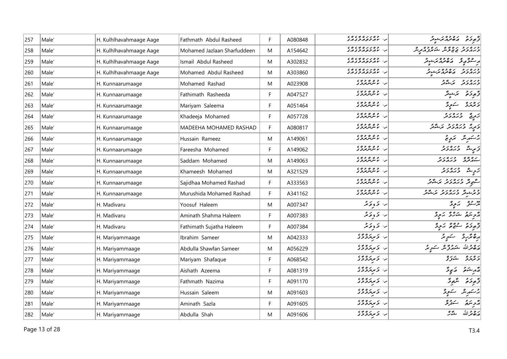| 257 | Male' | H. Kulhlhavahmaage Aage | Fathmath Abdul Rasheed      | F.          | A080848 | $\begin{array}{lll} c@>{c@>{c@>{c@{\cdots}}} \\ \circ @{c@>{c@>{c@{\cdots}}} \\ \circ @{c@>{c@>{c@{\cdots}}} \\ \circ @{c@>{c@>{c@{\cdots}}} \\ \circ @{c@>{c@{\cdots}}} \\ \circ @{c@>{c@{\cdots}}} \\ \circ @{c@>{c@{\cdots}}} \end{array} \quad .$                                                                                                                                                                                                                                | قريده ده ده ده در در د                                         |
|-----|-------|-------------------------|-----------------------------|-------------|---------|--------------------------------------------------------------------------------------------------------------------------------------------------------------------------------------------------------------------------------------------------------------------------------------------------------------------------------------------------------------------------------------------------------------------------------------------------------------------------------------|----------------------------------------------------------------|
| 258 | Male' | H. Kulhlhavahmaage Aage | Mohamed Jazlaan Sharfuddeen | M           | A154642 | c s c s o s s o s<br>5 A 5 5 A 9 5 A 4 $\sim$                                                                                                                                                                                                                                                                                                                                                                                                                                        | ورەر د رەپرە مەدەرە<br>دىدەردىر ق                              |
| 259 | Male' | H. Kulhlhavahmaage Aage | Ismail Abdul Rasheed        | M           | A302832 | cscsovios<br>SASIAGIAV                                                                                                                                                                                                                                                                                                                                                                                                                                                               | مر شوگهر ده ده ده مر شوند<br>مر شوگهر در هم مر مر شوند         |
| 260 | Male' | H. Kulhlhavahmaage Aage | Mohamed Abdul Rasheed       | M           | A303860 | $\begin{array}{lll} c@>{\small{\sim}}c@>{\small{\sim}}c@>{\small{\sim}}c@>{\small{\sim}}c@>{\small{\sim}}c@>{\small{\sim}}c@>{\small{\sim}}c@>{\small{\sim}}c@>{\small{\sim}}c@>{\small{\sim}}c@>{\small{\sim}}c@>{\small{\sim}}c@>{\small{\sim}}c@>{\small{\sim}}c@>{\small{\sim}}c@>{\small{\sim}}c@>{\small{\sim}}c@>{\small{\sim}}c@>{\small{\sim}}c@>{\small{\sim}}c@>{\small{\sim}}c@>{\small{\sim}}c@>{\small{\sim}}c@>{\small{\sim}}c@>{\small{\sim}}c@>{\small{\sim}}c@>{\$ | وره رو ده وه در د<br><i>وبروجو م</i> ه توم ترش <sub>و</sub> تر |
| 261 | Male' | H. Kunnaarumaage        | Mohamed Rashad              | M           | A023908 | ر می شود و د و د<br>ر با می می شرکتری                                                                                                                                                                                                                                                                                                                                                                                                                                                | ورەر دىر بەر<br><i>جەم</i> ەر بىرىشەتر                         |
| 262 | Male' | H. Kunnaarumaage        | Fathimath Rasheeda          | F           | A047527 | ر و ه و و و و<br>ر . گم میرمتر پرو ی                                                                                                                                                                                                                                                                                                                                                                                                                                                 | تزود كالمتحفظة                                                 |
| 263 | Male' | H. Kunnaarumaage        | Mariyam Saleema             | F           | A051464 | ر و ه و و و و<br>ر . گم شرش پرو ی                                                                                                                                                                                                                                                                                                                                                                                                                                                    | رەرە سەرۇ                                                      |
| 264 | Male' | H. Kunnaarumaage        | Khadeeja Mohamed            | F           | A057728 | ر وه پروه وه<br>ر ام مرمتر پروی                                                                                                                                                                                                                                                                                                                                                                                                                                                      | و ره ر د<br><i>و پ</i> رو تر<br>ترتوقج                         |
| 265 | Male' | H. Kunnaarumaage        | MADEEHA MOHAMED RASHAD      | F.          | A080817 | ر و ه و و و و<br>ر . گا مگر مگرچری                                                                                                                                                                                                                                                                                                                                                                                                                                                   | وترر ورورو برجود                                               |
| 266 | Male' | H. Kunnaarumaage        | Hussain Rameez              | M           | A149061 | ر. د ه مروره و<br>ر. ما مگر مگرچون                                                                                                                                                                                                                                                                                                                                                                                                                                                   | يز سكر مثر مركز مركز من                                        |
| 267 | Male' | H. Kunnaarumaage        | Fareesha Mohamed            | F           | A149062 |                                                                                                                                                                                                                                                                                                                                                                                                                                                                                      | و ره ر د<br>تر پر ژمر<br>ترىرىشە                               |
| 268 | Male' | H. Kunnaarumaage        | Saddam Mohamed              | M           | A149063 | ر. د ه مروره و<br>ر. ما مگر مگرچون                                                                                                                                                                                                                                                                                                                                                                                                                                                   | بەھ بۇ ھ<br>و ره ر د<br>رنگرونر                                |
| 269 | Male' | H. Kunnaarumaage        | Khameesh Mohamed            | M           | A321529 | ر و ه و و و و<br>ر ۰ ما مارس <i>برو ی</i>                                                                                                                                                                                                                                                                                                                                                                                                                                            | زَرِيْ دِيرەرد                                                 |
| 270 | Male' | H. Kunnaarumaage        | Sajidhaa Mohamed Rashad     | $\mathsf F$ | A333563 | ر و ه و و و و<br>ر ۰ ما مارس <i>برو ی</i>                                                                                                                                                                                                                                                                                                                                                                                                                                            | ر محمد وره د و برروم<br>رگهانگر وبرابر و بررشونز               |
| 271 | Male' | H. Kunnaarumaage        | Murushida Mohamed Rashad    | F           | A341162 | ر. د ه پروژه                                                                                                                                                                                                                                                                                                                                                                                                                                                                         | و و به در ۱۵۷۵ د بر و و<br>ویژىشونژ وبروژنو برىشونز            |
| 272 | Male' | H. Madivaru             | Yoosuf Haleem               | M           | A007347 | ر به ځه وتمتر                                                                                                                                                                                                                                                                                                                                                                                                                                                                        | ژر دو بر دو                                                    |
| 273 | Male' | H. Madivaru             | Aminath Shahma Haleem       | F.          | A007383 | ر كەبۇ ئەتر                                                                                                                                                                                                                                                                                                                                                                                                                                                                          | أأوبتهم لمشركة الكروى                                          |
| 274 | Male' | H. Madivaru             | Fathimath Sujatha Haleem    | $\mathsf F$ | A007384 | ر، ځوغه                                                                                                                                                                                                                                                                                                                                                                                                                                                                              | وٌمودَهِ سَنَعْمَ يَرْدِدُ                                     |
| 275 | Male' | H. Mariyammaage         | Ibrahim Sameer              | M           | A042333 | ر کریروژوی                                                                                                                                                                                                                                                                                                                                                                                                                                                                           | أرە ئەر ئەر ئە                                                 |
| 276 | Male' | H. Mariyammaage         | Abdulla Shawfan Sameer      | M           | A056229 | ر که پره وي                                                                                                                                                                                                                                                                                                                                                                                                                                                                          | برە داللە ئەم ئۇنىر سەدىد                                      |
| 277 | Male' | H. Mariyammaage         | Mariyam Shafaque            | F           | A068542 | ر کریرووی                                                                                                                                                                                                                                                                                                                                                                                                                                                                            | ره ره<br>و بربرو شوتونو                                        |
| 278 | Male' | H. Mariyammaage         | Aishath Azeema              | F           | A081319 | ر کریروی                                                                                                                                                                                                                                                                                                                                                                                                                                                                             | ۇرىشكى ك <i>ەنب</i>                                            |
| 279 | Male' | H. Mariyammaage         | Fathmath Nazima             | F           | A091170 | ر که پره وي                                                                                                                                                                                                                                                                                                                                                                                                                                                                          | وٌجوحَ حو<br>سَّرْهُ رَ                                        |
| 280 | Male' | H. Mariyammaage         | Hussain Saleem              | M           | A091603 | ر کریروی                                                                                                                                                                                                                                                                                                                                                                                                                                                                             | يزختهر شاعرو                                                   |
| 281 | Male' | H. Mariyammaage         | Aminath Sazla               | F           | A091605 | ر که پره وي                                                                                                                                                                                                                                                                                                                                                                                                                                                                          | ړ څر سره<br>سەۋرگە                                             |
| 282 | Male' | H. Mariyammaage         | Abdulla Shah                | M           | A091606 | ر که بره وي<br>ر که برگرون                                                                                                                                                                                                                                                                                                                                                                                                                                                           | برە قراللە<br>ىشىمر                                            |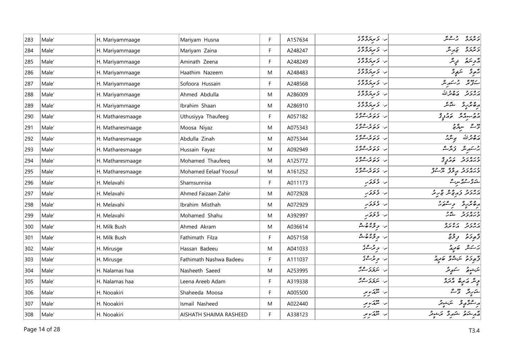| 283 | Male' | H. Mariyammaage  | Mariyam Husna           | F           | A157634 | ر که پروه وي                   | بر مشرمتر<br>ر ه ر ه<br>د بربرد                    |
|-----|-------|------------------|-------------------------|-------------|---------|--------------------------------|----------------------------------------------------|
| 284 | Male' | H. Mariyammaage  | Mariyam Zaina           | F           | A248247 | ر که پروه وي                   | تر جو بر ج<br>ىئىمرىتىر                            |
| 285 | Male' | H. Mariyammaage  | Aminath Zeena           | $\mathsf F$ | A248249 | ر که پروژه                     | أرمز تر<br>فرٍسٌّر                                 |
| 286 | Male' | H. Mariyammaage  | Haathim Nazeem          | M           | A248483 | ر که پرووی                     | بڑ <sub>ھو</sub> ر<br>سكفجو                        |
| 287 | Male' | H. Mariyammaage  | Sofoora Hussain         | F           | A248568 | ر که پرووړ                     | سۇرىيە جەسىمبەتلە                                  |
| 288 | Male' | H. Mariyammaage  | Ahmed Abdulla           | M           | A286009 | ر که پروژه                     | رورو روورالله                                      |
| 289 | Male' | H. Mariyammaage  | Ibrahim Shaan           | M           | A286910 | ر که پره وي                    | ەر ھەترىر <i>3</i><br>ڪُم <i>بر</i>                |
| 290 | Male' | H. Matharesmaage | Uthusiyya Thaufeeg      | F           | A057182 | ر کرده و ده و                  |                                                    |
| 291 | Male' | H. Matharesmaage | Moosa Niyaz             | M           | A075343 | ر کرده و ده و                  | الرحمشة المرتجم                                    |
| 292 | Male' | H. Matharesmaage | Abdulla Zinah           | M           | A075344 | ر کرده و ده و                  | پرھ قرالله     برىگرچر                             |
| 293 | Male' | H. Matharesmaage | Hussain Fayaz           | M           | A092949 | ر کرده و و ده<br>ر کوه مرسوح د | يركسهر تر تركت                                     |
| 294 | Male' | H. Matharesmaage | Mohamed Thaufeeg        | M           | A125772 | ر کرده و ده و                  | دره در در دره<br>  در مرد در مرد بر                |
| 295 | Male' | H. Matharesmaage | Mohamed Eelaaf Yoosuf   | M           | A161252 | ر کرده و و و و<br>ر کانانوری   | כנסגב בפי משופס<br>כגובת קבצ וגיינ                 |
| 296 | Male' | H. Melavahi      | Shamsunnisa             | $\mathsf F$ | A011173 | ر، ۇرۇپ                        | شەۋىسە <i>مەس</i> رىسە                             |
| 297 | Male' | H. Melavahi      | Ahmed Faizaan Zahir     | M           | A072928 | ر، ۇۇھۇر                       | بروديز زرءمر ءيربز                                 |
| 298 | Male' | H. Melavahi      | Ibrahim Misthah         | M           | A072929 | ر، ۇ ئۇر                       |                                                    |
| 299 | Male' | H. Melavahi      | Mohamed Shahu           | M           | A392997 | ر، ۇرۇر                        | ورەر دەر                                           |
| 300 | Male' | H. Milk Bush     | Ahmed Akram             | M           | A036614 | ر. بەۋرەھىشە                   | גפיב גם גם                                         |
| 301 | Male' | H. Milk Bush     | Fathimath Filza         | F           | A057158 | ر. بەۋرەھىشە                   | وتجوحهم ويحتج                                      |
| 302 | Male' | H. Mirusge       | Hassan Badeeu           | M           | A041033 | ر. جەنزىقتى                    | پر کشمی که محمد هم                                 |
| 303 | Male' | H. Mirusge       | Fathimath Nashwa Badeeu | $\mathsf F$ | A111037 | ر و پر شد                      | تؤجروه لترشف كالمرار                               |
| 304 | Male' | H. Nalamas haa   | Nasheeth Saeed          | M           | A253995 | ر. سَرَوَرَ سُدَرَّ            | يترسم هم سكور قر                                   |
| 305 | Male' | H. Nalamas haa   | Leena Areeb Adam        | $\mathsf F$ | A319338 | ر. سَرَوَرَ سُرَرَّ            | دٍ پُرٌ <sub>م</sub> ُ <sub>م</sub> َرِهِ مُدَرَّد |
| 306 | Male' | H. Nooakiri      | Shaheeda Moosa          | F.          | A005500 | به مندر<br>ربه مندرس           | شَرِیزٌ دِ"سُ                                      |
| 307 | Male' | H. Nooakiri      | Ismail Nasheed          | M           | A022440 | ر. میند با بر                  | بر شرقها فران المراسور                             |
| 308 | Male' | H. Nooakiri      | AISHATH SHAIMA RASHEED  | $\mathsf F$ | A338123 | سىمدىن<br>سىمدىن               | مەرشۇم شەرۇ ئەشوق                                  |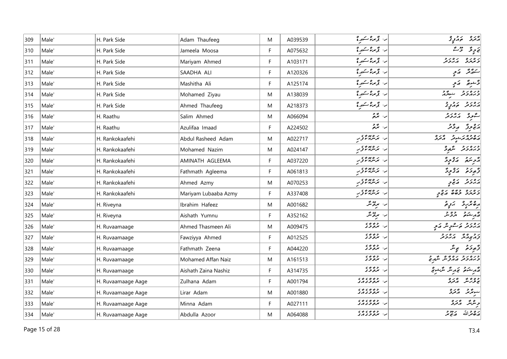| 309 | Male' | H. Park Side       | Adam Thaufeeg        | M           | A039539 | ر، بۇ ئەرەب ئىرە ؟                                                                                                                                                                                                                       | وره رو ه<br>منزو موړن <sub>و</sub> نو                                                              |
|-----|-------|--------------------|----------------------|-------------|---------|------------------------------------------------------------------------------------------------------------------------------------------------------------------------------------------------------------------------------------------|----------------------------------------------------------------------------------------------------|
| 310 | Male' | H. Park Side       | Jameela Moosa        | F           | A075632 | ر، بۇ ئەرەب ئىردى                                                                                                                                                                                                                        | الأولى المحمد المحمد                                                                               |
| 311 | Male' | H. Park Side       | Mariyam Ahmed        | $\mathsf F$ | A103171 | ر. بۇ برىدىكىرى                                                                                                                                                                                                                          | נים נים נים ניבי<br>המחניה הגיבית                                                                  |
| 312 | Male' | H. Park Side       | SAADHA ALI           | F           | A120326 | ل- بۇ ئەرەب كىم دە                                                                                                                                                                                                                       | سنه ته المسلم المسلم المسلم المسلم المسلم المسلم المسلم المسلم المسلم المسلم الله الله الله الله ا |
| 313 | Male' | H. Park Side       | Mashitha Ali         | F           | A125174 | ر، بۇ ئەرەب كىرە ؟                                                                                                                                                                                                                       | وٌڪوڻَ اوَ پِ                                                                                      |
| 314 | Male' | H. Park Side       | Mohamed Ziyau        | M           | A138039 | ر، بۇ برىئا سىزدە                                                                                                                                                                                                                        | כנסני - המר<br>הממכת - האמר                                                                        |
| 315 | Male' | H. Park Side       | Ahmed Thaufeeg       | M           | A218373 | ر، بۇ ئەرىما سىزدى                                                                                                                                                                                                                       | קסק קרק ב                                                                                          |
| 316 | Male' | H. Raathu          | Salim Ahmed          | M           | A066094 | ر . هره                                                                                                                                                                                                                                  | كشوو مدود                                                                                          |
| 317 | Male' | H. Raathu          | Azulifaa Imaad       | F           | A224502 | ر. مۇھ                                                                                                                                                                                                                                   | أرجوع ورقم                                                                                         |
| 318 | Male' | H. Rankokaafehi    | Abdul Rasheed Adam   | M           | A022717 | ر، ئەسرىدىدى بە                                                                                                                                                                                                                          | גם כם גבובה הבנים<br>הם המגביה                                                                     |
| 319 | Male' | H. Rankokaafehi    | Mohamed Nazim        | M           | A024147 | ر، نرەپرە ،                                                                                                                                                                                                                              | ورەرو ئەرە                                                                                         |
| 320 | Male' | H. Rankokaafehi    | AMINATH AGLEEMA      | F           | A037220 | ر. ئەھدىيە بەر<br>بەر ئىشرىتى ئەترىپ                                                                                                                                                                                                     | أزويتم أأتوفي                                                                                      |
| 321 | Male' | H. Rankokaafehi    | Fathmath Agleema     | F           | A061813 | ر. ئەھەم ئەسىرى<br>سىسىر ئەسىرىدىكى بە                                                                                                                                                                                                   | قهوخه مقوفة                                                                                        |
| 322 | Male' | H. Rankokaafehi    | Ahmed Azmy           | M           | A070253 | ر. ئەشرىتى ئۈس                                                                                                                                                                                                                           |                                                                                                    |
| 323 | Male' | H. Rankokaafehi    | Mariyam Lubaaba Azmy | F           | A337408 | ر بە ئەھمەم ئۇر                                                                                                                                                                                                                          | ג סגם כשש גם<br>כמתב בסם השכ                                                                       |
| 324 | Male' | H. Riveyna         | Ibrahim Hafeez       | M           | A001682 | ر. برگزمگر                                                                                                                                                                                                                               | ەھترىر ئىرۇ<br>ئ                                                                                   |
| 325 | Male' | H. Riveyna         | Aishath Yumnu        | F           | A352162 | ر. برە ئەگ                                                                                                                                                                                                                               | ر<br>مگهر شکور دور د                                                                               |
| 326 | Male' | H. Ruvaamaage      | Ahmed Thasmeen Ali   | M           | A009475 | ر به ۱۶۶۶<br>ر به مروکار                                                                                                                                                                                                                 | ره رو نه عاده شور مو                                                                               |
| 327 | Male' | H. Ruvaamaage      | Fawziyya Ahmed       | F           | A012525 | ر<br>ر . مروکری                                                                                                                                                                                                                          | צה מית הפיבת                                                                                       |
| 328 | Male' | H. Ruvaamaage      | Fathmath Zeena       | F           | A044220 | ر به ۱۶۶۶<br>ر۰ بورگان                                                                                                                                                                                                                   | قەددە بېتر                                                                                         |
| 329 | Male' | H. Ruvaamaage      | Mohamed Affan Naiz   | M           | A161513 | ر<br>ر. . برو <del>ر</del> .                                                                                                                                                                                                             | כנסני נספס בניין<br>במהכת ההצית יתה                                                                |
| 330 | Male' | H. Ruvaamaage      | Aishath Zaina Nashiz | F           | A314735 | ر به ۱۶۶۶<br>ر۰ بورگان                                                                                                                                                                                                                   | قەرشۇق تەرىتر ترسرچ                                                                                |
| 331 | Male' | H. Ruvaamaage Aage | Zulhana Adam         | F           | A001794 | $\begin{array}{lll} c\,\otimes\,c\,\otimes\,\otimes\,\circ\\ \circ\,\circ\,\circ\,\circ\,\circ\,\circ \end{array} \qquad \begin{array}{lll} c\,\otimes\,c\,\otimes\,\circ\,\circ\\ \circ\,\circ\,\circ\,\circ\,\circ\,\circ \end{array}$ | وه بر بر بره<br>بح تر <i>د م</i> رد                                                                |
| 332 | Male' | H. Ruvaamaage Aage | Lirar Adam           | M           | A001880 | و د د د د د د<br>ر۰ مروح د د د                                                                                                                                                                                                           | سيعرش وتره                                                                                         |
| 333 | Male' | H. Ruvaamaage Aage | Minna Adam           | $\mathsf F$ | A027111 | د به ۱۶۶۶ وي.<br>ر۰ مروح <sub>۱</sub> ۶ وي.                                                                                                                                                                                              | د بربر په ډېره                                                                                     |
| 334 | Male' | H. Ruvaamaage Aage | Abdulla Azoor        | M           | A064088 |                                                                                                                                                                                                                                          | مەھىراللە مەم م                                                                                    |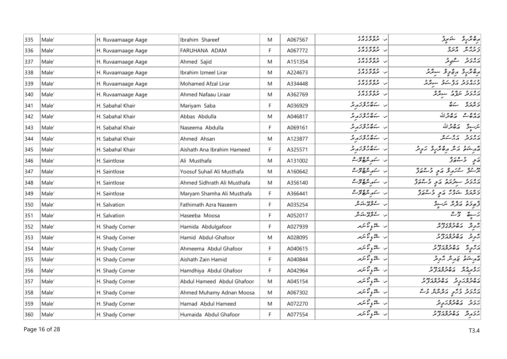| 335 | Male' | H. Ruvaamaage Aage | Ibrahim Shareef             | M  | A067567 | $\begin{array}{lll} c\,\otimes\,c\,\otimes\,\otimes\,\circ\\ \circ\,\circ\,\circ\,\circ\,\circ\,\circ \end{array} \qquad \begin{array}{lll} \circ\, & \circ\,\circ\\ \circ\,\circ\,\circ\,\circ\,\circ\,\circ\,\circ \end{array}$ | ە ھەترىر <i>ھ</i><br>شەمرىر                                     |
|-----|-------|--------------------|-----------------------------|----|---------|-----------------------------------------------------------------------------------------------------------------------------------------------------------------------------------------------------------------------------------|-----------------------------------------------------------------|
| 336 | Male' | H. Ruvaamaage Aage | FARUHANA ADAM               | F. | A067772 | و ه پر د پر<br>برخ <del>و</del> بر بر بر                                                                                                                                                                                          | كروم شر محمده                                                   |
| 337 | Male' | H. Ruvaamaage Aage | Ahmed Sajid                 | M  | A151354 | و ه و ه و و و و<br>ر . ه مو <del>و</del> و و و                                                                                                                                                                                    | پره بر ده سنگهای کر                                             |
| 338 | Male' | H. Ruvaamaage Aage | Ibrahim Izmeel Lirar        | M  | A224673 | و ه پر د پر<br>برخ <del>و</del> پر پر                                                                                                                                                                                             | ړەترېرو رېږدو درتر                                              |
| 339 | Male' | H. Ruvaamaage Aage | Mohamed Afzal Lirar         | M  | A334448 | $\begin{array}{lll} c\,\circ\, c\,\circ\, \circ\, c\, \\ \circ\, c\,\circ\, c\,\circ\, c\, \end{array} \ .$                                                                                                                       | ورەر دەردە دە ئەر                                               |
| 340 | Male' | H. Ruvaamaage Aage | Ahmed Nafaau Liraar         | M  | A362769 | $\begin{array}{lll} c\,\otimes\,c\,\otimes\,\otimes\,\circ\\ \circ\,\circ\,\circ\,\circ\,\circ\,\circ \end{array} \ .\,$                                                                                                          | رەر دەر ئىچ                                                     |
| 341 | Male' | H. Sabahal Khair   | Mariyam Saba                | F  | A036929 | بە 2026 كە                                                                                                                                                                                                                        | ره ره ده                                                        |
| 342 | Male' | H. Sabahal Khair   | Abbas Abdulla               | M  | A046817 | بە دەبر د                                                                                                                                                                                                                         | رەپچە<br>برە قراللە                                             |
| 343 | Male' | H. Sabahal Khair   | Naseema Abdulla             | F  | A069161 | ر. سۇھەردىر د                                                                                                                                                                                                                     | صقعرالله<br>لىئەسپەرى                                           |
| 344 | Male' | H. Sabahal Khair   | Ahmed Ahsan                 | M  | A123877 | ر، سۇھەترىرىم                                                                                                                                                                                                                     | رەرد رەپ                                                        |
| 345 | Male' | H. Sabahal Khair   | Aishath Ana Ibrahim Hameed  | F  | A325571 | ر، سۇھەرىر د                                                                                                                                                                                                                      | مەستۇم كەش مەھكرىدى كەچ                                         |
| 346 | Male' | H. Saintlose       | Ali Musthafa                | M  | A131002 | ر. سەر شۇغ قەت                                                                                                                                                                                                                    | أرشح ومنهجة                                                     |
| 347 | Male' | H. Saintlose       | Yoosuf Suhail Ali Musthafa  | M  | A160642 | ر. سەر شەغرىشە                                                                                                                                                                                                                    | در دو گرمرو كرد و مردو                                          |
| 348 | Male' | H. Saintlose       | Ahmed Sidhrath Ali Musthafa | M  | A356140 | ر. سەر شەھ تەت                                                                                                                                                                                                                    | ו פו כן כן כן כן פורק.<br>ג'ובנק הינקאופ ג'וב בהיופצ            |
| 349 | Male' | H. Saintlose       | Maryam Shamha Ali Musthafa  | F. | A366441 | ر. سەر شەھ بۇ ھ                                                                                                                                                                                                                   | رەرە بەدە كەر دەرە                                              |
| 350 | Male' | H. Salvation       | Fathimath Azra Naseem       | F  | A035254 | ر. سەۋەھ شەش                                                                                                                                                                                                                      | توجوحو مافرنگ للرسوفر                                           |
| 351 | Male' | H. Salvation       | Haseeba Moosa               | F. | A052017 | ر. سەۋە ھەمەر                                                                                                                                                                                                                     | يرَ سعدة الترجية من                                             |
| 352 | Male' | H. Shady Corner    | Hamida Abdulgafoor          | F. | A027939 | ر. ڪئو ۽ ملائيلا                                                                                                                                                                                                                  | ه و ده ده ده.<br>بردنر مهنرزز بر                                |
| 353 | Male' | H. Shady Corner    | Hamid Abdul-Ghafoor         | M  | A028095 | ر. ڪو ۽ عوسر                                                                                                                                                                                                                      | ر ه و ه بر دو و<br>پرې تر پخه تو بر<br>رم<br>بر <del>د</del> تر |
| 354 | Male' | H. Shady Corner    | Ahmeema Abdul Ghafoor       | F  | A040615 | ر، ڪئي پائلند                                                                                                                                                                                                                     | ر ٥ ٥ ٥ ٥ ٠ ٥ ٠<br>پرڪ تر <del>ت</del> ر تر س<br>ورمزيز         |
| 355 | Male' | H. Shady Corner    | Aishath Zain Hamid          | F  | A040844 | ر، ڪئي ماڻهور                                                                                                                                                                                                                     | ومرشكم تمرشر بزوقر                                              |
| 356 | Male' | H. Shady Corner    | Hamdhiya Abdul Ghafoor      | F  | A042964 | ر. ڪو ۽ ماسكر پر                                                                                                                                                                                                                  | גם סיב גם כסגמני.<br>גכנקוקו וגישניתונית                        |
| 357 | Male' | H. Shady Corner    | Abdul Hameed Abdul Ghafoor  | M  | A045154 | ر. ڪؤ ۽ مُذَ مَدَ بر                                                                                                                                                                                                              | ر ه و ه ر و م ر و ه د دو و<br>پرهنربرگردند م پرهنربر تر بر      |
| 358 | Male' | H. Shady Corner    | Ahmed Muhamy Adnan Moosa    | M  | A067302 | ر. ڪ <sub>وءِ</sub> ماڻهر                                                                                                                                                                                                         | ړه د د د د په پره شر وگ                                         |
| 359 | Male' | H. Shady Corner    | Hamad Abdul Hameed          | M  | A072270 | ر. ڪ <sub>وءِ</sub> مائنگر مل                                                                                                                                                                                                     | رز ده ده ده در د                                                |
| 360 | Male' | H. Shady Corner    | Humaida Abdul Ghafoor       | F. | A077554 | ر. ڪ <sub>وءِ</sub> مُؤسِّد                                                                                                                                                                                                       | כנ כ נסכנני כ<br>גכתית השית-מונית                               |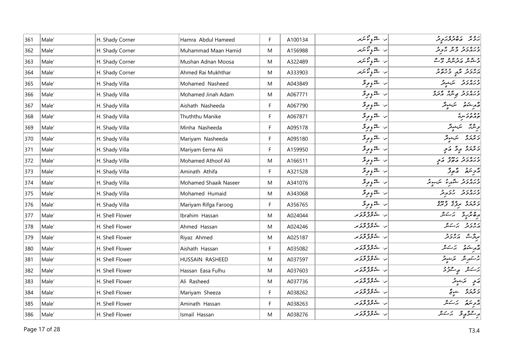| 361 | Male' | H. Shady Corner | Hamra Abdul Hameed    | F           | A100134 | ر، ڪچو پاڪر پر                       | رە بە ھەمرىرىرىگىر                                                                     |
|-----|-------|-----------------|-----------------------|-------------|---------|--------------------------------------|----------------------------------------------------------------------------------------|
| 362 | Male' | H. Shady Corner | Muhammad Maan Hamid   | M           | A156988 | ر، ڪُندو مُذَكَّبته                  | ورەر د دەر بەر                                                                         |
| 363 | Male' | H. Shady Corner | Mushan Adnan Moosa    | M           | A322489 | سانتىمى ئەيدىكى مىكرىكى بىر<br> -    | و ۵۰۰ د و ۵۰۰ و.<br>د شوس پرترس و گ                                                    |
| 364 | Male' | H. Shady Corner | Ahmed Rai Mukhthar    | M           | A333903 | ل سنگو پاکستاند<br>است سنگو پاکستاند | ر ور د عمد د د د د                                                                     |
| 365 | Male' | H. Shady Villa  | Mohamed Nasheed       | M           | A043849 | ر. ڪوءِ مومگر                        | ورەرو شرشونر                                                                           |
| 366 | Male' | H. Shady Villa  | Mohamed Jinah Adam    | M           | A067771 | ر. ڪوءِ مرگز                         | وره رو هغور وره<br>وبروونر مح س. گرفرو                                                 |
| 367 | Male' | H. Shady Villa  | Aishath Nasheeda      | $\mathsf F$ | A067790 | ر. ڪوءِ مرگ                          | مەر ئىكىمى سىر ئىرىگە                                                                  |
| 368 | Male' | H. Shady Villa  | Thuththu Manike       | $\mathsf F$ | A067871 | ر. ڪ <sub>ڏھ</sub> وڻر               | כס כג<br>כ <i>מים כ</i> יתט                                                            |
| 369 | Male' | H. Shady Villa  | Minha Nasheeda        | $\mathsf F$ | A095178 | ر. ڪوءِ مرگ                          | <br>  <i>وینزنگ سرکینیونگر</i>                                                         |
| 370 | Male' | H. Shady Villa  | Mariyam Nasheeda      | $\mathsf F$ | A095180 | ر. ڪوءِ وِڱ                          | و مرد سرشوش                                                                            |
| 371 | Male' | H. Shady Villa  | Mariyam Eema Ali      | F           | A159950 | ر. ڪوءِ مرگز                         | د ۱۳۵۶ مړينه کمکړي                                                                     |
| 372 | Male' | H. Shady Villa  | Mohamed Athoof Ali    | M           | A166511 | ر. ڪوءِ مرگز                         | כנהג ב גדם הב                                                                          |
| 373 | Male' | H. Shady Villa  | Aminath Athifa        | F           | A321528 | ر. ڪڏوچڙ                             | ړٌ پر په په پور                                                                        |
| 374 | Male' | H. Shady Villa  | Mohamed Shaaik Naseer | M           | A341076 | ر. ڪ <sub>ڏيا جا</sub> ئز            | ورەرو شەر ئىسبەتر                                                                      |
| 375 | Male' | H. Shady Villa  | Mohamed Humaid        | M           | A343068 | ر. ڪوءِ مرگ                          | כנסנים בנים                                                                            |
| 376 | Male' | H. Shady Villa  | Mariyam Rifga Faroog  | F           | A356765 | ر. ڪو ۽ وڱ                           | ر و ر و عروج و دوه                                                                     |
| 377 | Male' | H. Shell Flower | Ibrahim Hassan        | M           | A024044 | ر. شوووتور پر                        | رەترىرو بەسەر                                                                          |
| 378 | Male' | H. Shell Flower | Ahmed Hassan          | M           | A024246 | ر. شوووتورىر                         | رەرد برىك                                                                              |
| 379 | Male' | H. Shell Flower | Riyaz Ahmed           | M           | A025187 | ر. شوووتورىر                         | بروگ رورو                                                                              |
| 380 | Male' | H. Shell Flower | Aishath Hassan        | $\mathsf F$ | A035082 | ر. مش <i>توفر قرح</i> بر             | ۇرمۇق ئەسكىر                                                                           |
| 381 | Male' | H. Shell Flower | HUSSAIN RASHEED       | M           | A037597 | ر. شوووی د                           |                                                                                        |
| 382 | Male' | H. Shell Flower | Hassan Easa Fulhu     | M           | A037603 | ر. شەھ <i>ۇمۇھى</i> ر                | چرسکور میں میں میں میں تھا۔<br>ایر سکور میں میں میں تھا۔<br>ایر سکوری میں میں میں تھا۔ |
| 383 | Male' | H. Shell Flower | Ali Rasheed           | M           | A037736 | ر. شوووتر د                          | أركمني أترك والمراجح                                                                   |
| 384 | Male' | H. Shell Flower | Mariyam Sheeza        | $\mathsf F$ | A038262 | ر. شوووتورىر                         | ويوره<br>سنويج                                                                         |
| 385 | Male' | H. Shell Flower | Aminath Hassan        | F           | A038263 | ر. شوووتو در                         | ۇ ئەستى ئەسكەنلەر                                                                      |
| 386 | Male' | H. Shell Flower | Ismail Hassan         | M           | A038276 | ر. مش <i>ئونونون</i> و بر            | رەۋرو ئەسەر                                                                            |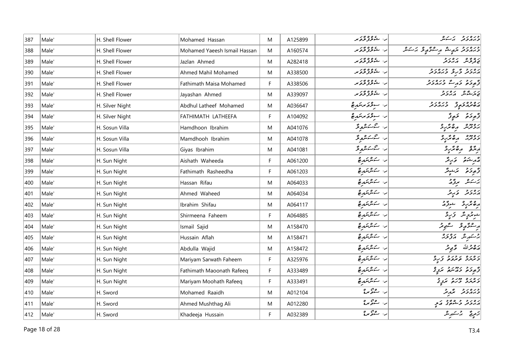| 387 | Male' | H. Shell Flower | Mohamed Hassan               | M           | A125899 | ر. شعروتروبر             | ورەرو پەسكىر                                                                                                                                                                                                                     |
|-----|-------|-----------------|------------------------------|-------------|---------|--------------------------|----------------------------------------------------------------------------------------------------------------------------------------------------------------------------------------------------------------------------------|
| 388 | Male' | H. Shell Flower | Mohamed Yaeesh Ismail Hassan | M           | A160574 | ر. شەھ ۋىمى تىر          | ورەرو روپىشى مەستۇم ئو بركىس                                                                                                                                                                                                     |
| 389 | Male' | H. Shell Flower | Jazlan Ahmed                 | M           | A282418 | ر. شەھ ۋە ئەر            | رەۋە يەررو                                                                                                                                                                                                                       |
| 390 | Male' | H. Shell Flower | Ahmed Mahil Mohamed          | M           | A338500 | ر. شەھ ۋىمى تىر          | גם גב כיש כגם בי                                                                                                                                                                                                                 |
| 391 | Male' | H. Shell Flower | Fathimath Maisa Mohamed      | F           | A338506 | ر. شودوور                | و و د د د د د د د د د                                                                                                                                                                                                            |
| 392 | Male' | H. Shell Flower | Jayashan Ahmed               | M           | A339097 | ر. شوود و در             | ىز مەشكەر بەر دەر                                                                                                                                                                                                                |
| 393 | Male' | H. Silver Night | Abdhul Latheef Mohamed       | M           | A036647 | ر ۱۰ سودگورسکردهی        | גם כם גם כגם גב<br>השנה כם צ'ברבת                                                                                                                                                                                                |
| 394 | Male' | H. Silver Night | FATHIMATH LATHEEFA           | F           | A104092 | ر سودة برسكر هي          | تزودة والحافيق                                                                                                                                                                                                                   |
| 395 | Male' | H. Sosun Villa  | Hamdhoon Ibrahim             | M           | A041076 | ر. ئەنئەشمۇ              | ת סיפים הפיתית כ                                                                                                                                                                                                                 |
| 396 | Male' | H. Sosun Villa  | Mamdhooh Ibrahim             | M           | A041078 | ر. ئەسكىش <sub>ھ</sub> ۇ | ە ھەمرىر 2<br>برھىمرىر 2<br>ر ه دوه<br>تر تر بر                                                                                                                                                                                  |
| 397 | Male' | H. Sosun Villa  | Giyas Ibrahim                | M           | A041081 | ر. ئەسەئىرو ۋ            | ړ شه د هغه د                                                                                                                                                                                                                     |
| 398 | Male' | H. Sun Night    | Aishath Waheeda              | F           | A061200 | ر. سەنكەرىج              | ړٌمرڪو وَب <sub>رِ</sub> تَرُ                                                                                                                                                                                                    |
| 399 | Male' | H. Sun Night    | Fathimath Rasheedha          | $\mathsf F$ | A061203 | ر. سەنكەرىقى ھ           | تزود كالمتحصر                                                                                                                                                                                                                    |
| 400 | Male' | H. Sun Night    | Hassan Rifau                 | M           | A064033 | ر. سەشرىتىم ھ            | بركسك بروح                                                                                                                                                                                                                       |
| 401 | Male' | H. Sun Night    | Ahmed Waheed                 | M           | A064034 | ر. ڪشريئرم ۾             | د ه د چه د کمپوټر                                                                                                                                                                                                                |
| 402 | Male' | H. Sun Night    | Ibrahim Shifau               | M           | A064117 | ر. سەنگەرىكىرى           | رەتمەر ئىسى <i>ۋە</i>                                                                                                                                                                                                            |
| 403 | Male' | H. Sun Night    | Shirmeena Faheem             | F           | A064885 | ر. سەشرىتىر ھ            | شەپر <sub>و</sub> بىر كۆرۈ                                                                                                                                                                                                       |
| 404 | Male' | H. Sun Night    | Ismail Sajid                 | M           | A158470 | ر. سەنكەندە ھ            | رەۋرو شىر                                                                                                                                                                                                                        |
| 405 | Male' | H. Sun Night    | Hussain Aflah                | M           | A158471 | ر. سەھەتىر ھ             | ج کستهر شرکت در دید که به سر استان به کردند که به این کردند که استان که به این که استان که با تاکست که با تاکس<br>مرگ کارگرفته که با تاکستان که با تاکستان که با تاکستان که با تاکستان که با تاکستان که با تاکستان که با تاکستان |
| 406 | Male' | H. Sun Night    | Abdulla Wajid                | M           | A158472 | ر. سەنكەرىنى ھ           | برة قرالله عُنْ قِي قُدْ                                                                                                                                                                                                         |
| 407 | Male' | H. Sun Night    | Mariyam Sarwath Faheem       | $\mathsf F$ | A325976 | ر. سەھەر ھ               | ر ور و بر ور و کرده                                                                                                                                                                                                              |
| 408 | Male' | H. Sun Night    | Fathimath Maoonath Rafeeq    | F           | A333489 | ر. سەمەر مۇرىج           | و و دور د درو برو و                                                                                                                                                                                                              |
| 409 | Male' | H. Sun Night    | Mariyam Moohath Rafeeq       | F           | A333491 | ر. ڪشريئرم ۾             | د ۵ د ۵ د ۶ د و ۶ د و ۶                                                                                                                                                                                                          |
| 410 | Male' | H. Sword        | Mohamed Raaidh               | M           | A012104 | ر. سوء پره               | ورەرو ئورو                                                                                                                                                                                                                       |
| 411 | Male' | H. Sword        | Ahmed Mushthag Ali           | M           | A012280 | $\frac{1}{2}$            | ره رو و ۵۶۵ کړ.<br>د بروتر و شوځ ته په                                                                                                                                                                                           |
| 412 | Male' | H. Sword        | Khadeeja Hussain             | F           | A032389 | ر. سوه بره               | كتعريج الرحشم يثمر                                                                                                                                                                                                               |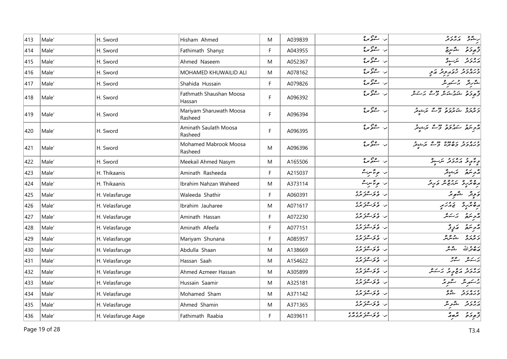| 413 | Male' | H. Sword            | Hisham Ahmed                       | M         | A039839 | ر. سوء پره                                                | رشگاه در بره در و                                          |
|-----|-------|---------------------|------------------------------------|-----------|---------|-----------------------------------------------------------|------------------------------------------------------------|
| 414 | Male' | H. Sword            | Fathimath Shanyz                   | F         | A043955 | ر. ڪوپيو                                                  | أزُّهِ دَمَ شَمْسٍ حَ                                      |
| 415 | Male' | H. Sword            | Ahmed Naseem                       | M         | A052367 | ر، سوءِ پره                                               | رەرو ترىدۇ                                                 |
| 416 | Male' | H. Sword            | MOHAMED KHUWAILID ALI              | M         | A078162 | ر، سوه بوره                                               | ورودة زورورة وو                                            |
| 417 | Male' | H. Sword            | Shahida Hussain                    | F         | A079826 | ر. ڪوپر ۾                                                 | لتقرير المرتبة المراسي                                     |
| 418 | Male' | H. Sword            | Fathmath Shaushan Moosa<br>Hassan  | F         | A096392 | ر. سوء پره                                                | أو باد المرد المر المرد المرد بالمركب                      |
| 419 | Male' | H. Sword            | Mariyam Sharuwath Moosa<br>Rasheed | F         | A096394 | ر. سوءِ پر ۽                                              | ره ده در در در محمد برشود                                  |
| 420 | Male' | H. Sword            | Aminath Saulath Moosa<br>Rasheed   | F         | A096395 | ر. ستوگره                                                 | أثر برو الروز ووائع الرشوش                                 |
| 421 | Male' | H. Sword            | Mohamed Mabrook Moosa<br>Rasheed   | ${\sf M}$ | A096396 | ر. ستوگره                                                 | 2000 07100 07100 م مرشوتر<br>2007 <i>5000 و س</i> گ مرشوتر |
| 422 | Male' | H. Sword            | Meekail Ahmed Nasym                | M         | A165506 | ر. سوءِ پره                                               | ويتمرقه متدفقه لترسوفه                                     |
| 423 | Male' | H. Thikaanis        | Aminath Rasheeda                   | F         | A215037 | ر. م <sub>و</sub> ماً میرے                                | أأرض المتحفظ                                               |
| 424 | Male' | H. Thikaanis        | Ibrahim Nahzan Waheed              | M         | A373114 | ر. مونڈ میرے                                              |                                                            |
| 425 | Male' | H. Velasfaruge      | Waleeda Shathir                    | F         | A060391 | ، ءر ورو،<br>ر. وتوسوير                                   | أعرفتر الشهومر                                             |
| 426 | Male' | H. Velasfaruge      | Ibrahim Jauharee                   | ${\sf M}$ | A071617 | ر ، غ <b>ړ شو پر</b> و ،                                  | رەپرىدە بەدىر                                              |
| 427 | Male' | H. Velasfaruge      | Aminath Hassan                     | F         | A072230 | ر ، غەنۇر قەرىپى                                          | أأدح يتركم أبراك متكر                                      |
| 428 | Male' | H. Velasfaruge      | Aminath Afeefa                     | F         | A077151 | ر ، غرم مورو ،<br>ر ، خرم مورو ،                          | أأترجع أأروقر                                              |
| 429 | Male' | H. Velasfaruge      | Mariyam Shunana                    | F         | A085957 | ر، غەنزىقى ئەرە                                           | رەرە شەر                                                   |
| 430 | Male' | H. Velasfaruge      | Abdulla Shaan                      | M         | A138669 | ر، غەنزىقى ئەرە                                           | برە تراللە<br>ىشەشر                                        |
| 431 | Male' | H. Velasfaruge      | Hassan Saah                        | ${\sf M}$ | A154622 | ، ء کرے دی۔<br>رسی کھوٹر مور                              | يزكتان كتار                                                |
| 432 | Male' | H. Velasfaruge      | Ahmed Azmeer Hassan                | M         | A305899 | ر په <i>کار و</i> ه<br>ر کانو کرم                         | גפנק גם כל גבות                                            |
| 433 | Male' | H. Velasfaruge      | Hussain Saamir                     | M         | A325181 | ر، غەنزىق ئەرە                                            | جا سکھ سر سنگھ جاتی ہے۔<br> -                              |
| 434 | Male' | H. Velasfaruge      | Mohamed Sham                       | ${\sf M}$ | A371142 | ر په <i>کار و</i> ه<br>ر کانو کرم                         | ورەر دەر يە                                                |
| 435 | Male' | H. Velasfaruge      | Ahmed Shamin                       | M         | A371365 | ر، غەنزىقى ئەرە                                           | أرور والمقويثر                                             |
| 436 | Male' | H. Velasfaruge Aage | Fathimath Raabia                   | F         | A039611 | ، ، ، ، ، ، ، ، ، ،<br>ر. ، ، و <del>کر</del> سو مرد بر د | أوجوحه بمهرة                                               |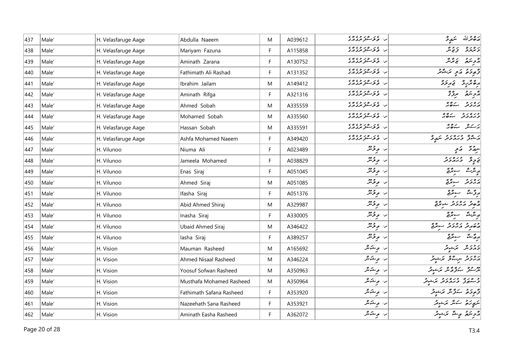| 437 | Male' | H. Velasfaruge Aage | Abdulla Naeem               | M           | A039612 | ، ، ، ، ، ، ، ، ، ،<br>ر. ، ، و <del>ر.</del> و بر <sub>ک</sub> رد | برە قراللە<br>سَمدِرْ                                |
|-----|-------|---------------------|-----------------------------|-------------|---------|--------------------------------------------------------------------|------------------------------------------------------|
| 438 | Male' | H. Velasfaruge Aage | Mariyam Fazuna              | F           | A115858 | ، عرص د د ، د ،<br>ر . عرض د برد برد                               | ر ه ر ه<br>تر بر بر<br>ۇ ئەشر                        |
| 439 | Male' | H. Velasfaruge Aage | Aminath Zarana              | F           | A130752 | ، عرص د د ، و،<br>ر . ع <del>قر س</del> و برو پر د                 | و پر دیگر                                            |
| 440 | Male' | H. Velasfaruge Aage | Fathimath Ali Rashad        | F           | A131352 | ، عرص د د ، د ،<br>ر . ع <del>قر س</del> و برد د ،                 | ژُودَهُ کَمْ تَرَجَّدُ                               |
| 441 | Male' | H. Velasfaruge Aage | Ibrahim Jailam              | M           | A149412 | ه د مر و د و د په<br>ر۰ گوځو مرد در                                | رە ئەر ئەردۇ                                         |
| 442 | Male' | H. Velasfaruge Aage | Aminath Rifga               | F           | A321316 | ه د مر و د و د په<br>ر۰ گوځو مرد در                                | أرمز ترة<br>ىرى پچ                                   |
| 443 | Male' | H. Velasfaruge Aage | Ahmed Sobah                 | M           | A335559 | ، عرص د د ، د ،<br>ر . ع <del>قر س</del> و برو پر د                | $20 -$<br>ر ه ر د<br>م.ر <del>د</del> تر             |
| 444 | Male' | H. Velasfaruge Aage | Mohamed Sobah               | M           | A335560 | ، عرص د د ، د ،<br>ر . ح <del>و سو</del> برد بر ،                  | بەھ<br>و رە ر د<br><i>د بر</i> بر تر                 |
| 445 | Male' | H. Velasfaruge Aage | Hassan Sobah                | M           | A335591 | ، عرص د د ، د ،<br>ر . عرض د برد برد                               | برسكس بكرة و                                         |
| 446 | Male' | H. Velasfaruge Aage | Ashfa Mohamed Naeem         | F           | A349420 | ، ، ، ، ، ، ، ، ،<br>ر. ، و <del>و سو</del> بو د د د               | ر وه دره دو شهره                                     |
| 447 | Male' | H. Vilunoo          | Niuma Ali                   | F           | A023489 | ار، <sub>حو</sub> چھ<br>ڪ                                          | سرچاق ڪچي                                            |
| 448 | Male' | H. Vilunoo          | Jameela Mohamed             | $\mathsf F$ | A038829 | ر، وویژ                                                            | و رە ر د<br><i>د بە</i> پەر<br>رَ <sub>حر</sub> تَرَ |
| 449 | Male' | H. Vilunoo          | Enas Siraj                  | F           | A051045 | ن و دیو<br>_____                                                   | ر مرَّث سوء تحري                                     |
| 450 | Male' | H. Vilunoo          | Ahmed Siraj                 | M           | A051085 | ر، وویژ                                                            | ره رو سوره<br><i>د بر</i> ونر سورگی                  |
| 451 | Male' | H. Vilunoo          | Ifasha Siraj                | F           | A051376 | ر. و ژنتر                                                          | ىر ئۇڭ سەنگەنج                                       |
| 452 | Male' | H. Vilunoo          | Abid Ahmed Shiraj           | M           | A329987 | ر. وژنژ                                                            | ړٌ مَرٌ ډَ بُر کر د عو مرٌ ج                         |
| 453 | Male' | H. Vilunoo          | Inasha Siraj                | F           | A330005 | ر. وژنتر                                                           | ە ئىرىش سىرتىقى                                      |
| 454 | Male' | H. Vilunoo          | <b>Ubaid Ahmed Siraj</b>    | M           | A346422 | ر. ویژنتر                                                          | הסתת הפניק לית                                       |
| 455 | Male' | H. Vilunoo          | lasha Siraj                 | F           | A389257 | ر. ووچه                                                            | ورممش سوبرقي                                         |
| 456 | Male' | H. Vision           | Mauman Rasheed              | M           | A165692 | ر، برڪيش                                                           | أزوره بمشوقر                                         |
| 457 | Male' | H. Vision           | <b>Ahmed Nisaal Rasheed</b> | M           | A346224 | ر، وىشەنگر                                                         | رور و سربرو بر <sub>شوند</sub>                       |
| 458 | Male' | H. Vision           | Yoosuf Sofwan Rasheed       | M           | A350963 | ر. وِحْدَمْر                                                       | دو وه در ره ده بر در د<br>در سون سونو شر بر شونر     |
| 459 | Male' | H. Vision           | Musthafa Mohamed Rasheed    | M           | A350964 | ر· ۔ حشہ سگر                                                       | و ەرە درەرد رىيو                                     |
| 460 | Male' | H. Vision           | Fathimath Safana Rasheed    | F           | A353920 | ر، الاحشکش                                                         | ۇردۇ بۇر ئەر                                         |
| 461 | Male' | H. Vision           | Nazeehath Sana Rasheed      | F           | A353921 | ر- وشکر نگر                                                        | للكلم يركوه السكامكر الكركسوفر                       |
| 462 | Male' | H. Vision           | Aminath Easha Rasheed       | F           | A362072 | ر، الاحشکش                                                         | أأوسم أرباع بمسور                                    |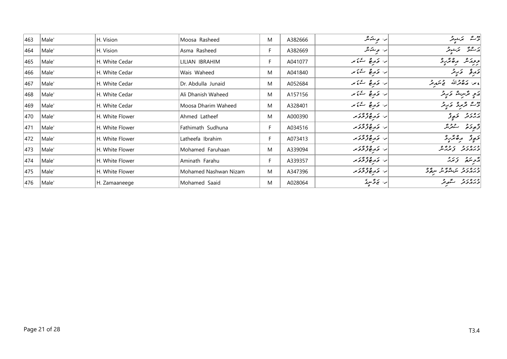| 463 | Male' | H. Vision       | Moosa Rasheed         | M  | A382666 | ر- الاسترىش                 | ارسم كرسور                               |
|-----|-------|-----------------|-----------------------|----|---------|-----------------------------|------------------------------------------|
| 464 | Male' | H. Vision       | Asma Rasheed          | F. | A382669 | ر، الاحتكاش                 | پر ہے بح<br>ىمە <sup>ت</sup> دىگر        |
| 465 | Male' | H. White Cedar  | LILIAN IBRAHIM        | F. | A041077 | ر، ھَ مُعَ هُ ۽َ سَر        | ودرس مقتررة                              |
| 466 | Male' | H. White Cedar  | Wais Waheed           | M  | A041840 | ل عَهْرِهِ سُوَيْر          | أقرمرهي قربرقر                           |
| 467 | Male' | H. White Cedar  | Dr. Abdulla Junaid    | M  | A052684 | ر، ئۇم ھاشكەنگە             | دسر م <i>ے قر</i> الله ت <i>ے سمد مر</i> |
| 468 | Male' | H. White Cedar  | Ali Dhanish Waheed    | M  | A157156 | $\sim$ $\sim$ $\sim$ $\sim$ | پَرِ پِر مُرْسِرِ مِنْ الْمَرِينِ        |
| 469 | Male' | H. White Cedar  | Moosa Dharim Waheed   | M  | A328401 | $\sim$ $\sim$ $\sim$ $\sim$ | ا <i>جنگ مرکز و ک</i> رمز                |
| 470 | Male' | H. White Flower | Ahmed Latheef         | M  | A000390 | ر بە ئەھ ۋىچە ئەر           | پروتر کیږو                               |
| 471 | Male' | H. White Flower | Fathimath Sudhuna     | F. | A034516 | ر بەر ھەم بەر بىر           | ا تو بر د د<br>افراد د کار<br>سەقىرىنگە  |
| 472 | Male' | H. White Flower | Latheefa Ibrahim      | F  | A073413 | ر بەرەۋە بەر                | دَوِرٌ رە ئەر د                          |
| 473 | Male' | H. White Flower | Mohamed Faruhaan      | M  | A339094 | ر بەرەۋە بەر                | و ره ر د<br>تر <i>پر</i> وتر<br>ۇ ئەرمىر |
| 474 | Male' | H. White Flower | Aminath Farahu        | F. | A339357 | ر بەرەۋە بەر                | أثر حريج وترترج                          |
| 475 | Male' | H. White Flower | Mohamed Nashwan Nizam | M  | A347396 | ر بەرەۋە ئەر                | ورەرو بريە دەر سۆۋ                       |
| 476 | Male' | H. Zamaaneege   | Mohamed Saaid         | M  | A028064 | اس نیم تحریب می<br>ا        | و ره ر و<br><i>و بر</i> پر تر<br>ستھەتر  |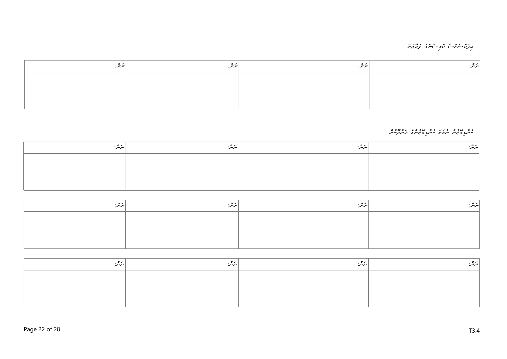## *w7qAn8m? sCw7mRo>u; wEw7mRw;sBo<*

| ' مرمر | 'يئرىثر: |
|--------|----------|
|        |          |
|        |          |
|        |          |

## *w7q9r@w7m> sCw7qHtFoFw7s; mAm=q7 w7qHtFoFw7s;*

| ىر تە | $\mathcal{O} \times$<br>$\sim$ | $\sim$<br>. . | لترنثر |
|-------|--------------------------------|---------------|--------|
|       |                                |               |        |
|       |                                |               |        |
|       |                                |               |        |

| انترنثر: | $^{\circ}$ | يبرهر | $^{\circ}$<br>سرسر |
|----------|------------|-------|--------------------|
|          |            |       |                    |
|          |            |       |                    |
|          |            |       |                    |

| ىرتىر: | 。<br>سر سر | .,<br>مرسر |
|--------|------------|------------|
|        |            |            |
|        |            |            |
|        |            |            |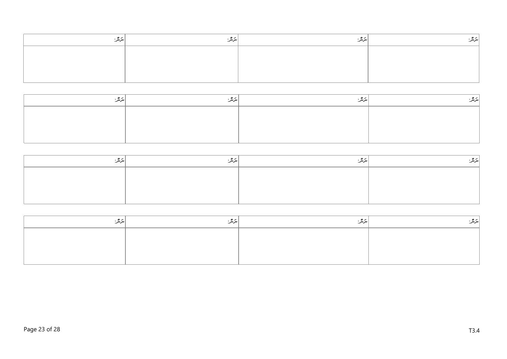| يزهر | $^{\circ}$ | ىئرىتر: |  |
|------|------------|---------|--|
|      |            |         |  |
|      |            |         |  |
|      |            |         |  |

| <sup>.</sup> سرسر. |  |
|--------------------|--|
|                    |  |
|                    |  |
|                    |  |

| ىئرىتر. | $\sim$ | ا بر هه. | لىرىش |
|---------|--------|----------|-------|
|         |        |          |       |
|         |        |          |       |
|         |        |          |       |

| 。<br>مرس. | $\overline{\phantom{a}}$<br>مر مىر | يتريثر |
|-----------|------------------------------------|--------|
|           |                                    |        |
|           |                                    |        |
|           |                                    |        |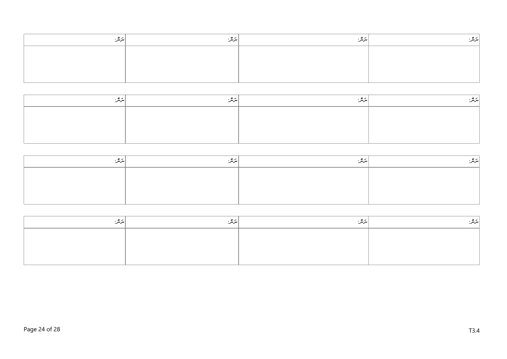| ير هو . | $\overline{\phantom{a}}$ | يرمر | اير هنه. |
|---------|--------------------------|------|----------|
|         |                          |      |          |
|         |                          |      |          |
|         |                          |      |          |

| ىر تىر: | $\circ$ $\sim$<br>" سرسر . | يبرحه | o . |
|---------|----------------------------|-------|-----|
|         |                            |       |     |
|         |                            |       |     |
|         |                            |       |     |

| 'تترنثر: | 。<br>,,,, |  |
|----------|-----------|--|
|          |           |  |
|          |           |  |
|          |           |  |

|  | . ه |
|--|-----|
|  |     |
|  |     |
|  |     |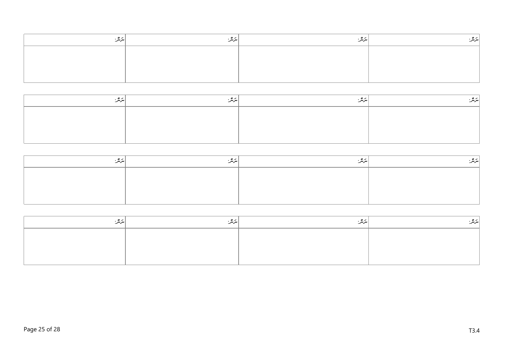| ير هو . | $\overline{\phantom{a}}$ | يرمر | اير هنه. |
|---------|--------------------------|------|----------|
|         |                          |      |          |
|         |                          |      |          |
|         |                          |      |          |

| ىر تىر: | $\circ$ $\sim$<br>" سرسر . | يبرحه | o . |
|---------|----------------------------|-------|-----|
|         |                            |       |     |
|         |                            |       |     |
|         |                            |       |     |

| الترنثر: | ' مرتكز: | الترنثر: | .,<br>سرسر. |
|----------|----------|----------|-------------|
|          |          |          |             |
|          |          |          |             |
|          |          |          |             |

|  | . ه |
|--|-----|
|  |     |
|  |     |
|  |     |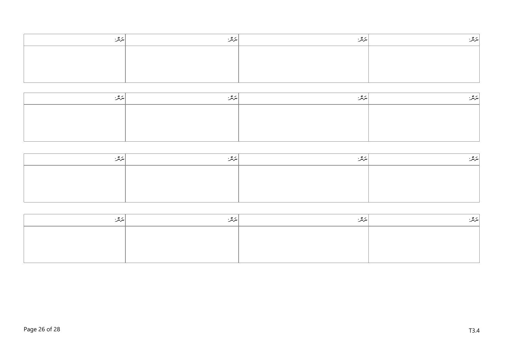| $\cdot$ | ο. | $\frac{\circ}{\cdot}$ | $\sim$<br>سرسر |
|---------|----|-----------------------|----------------|
|         |    |                       |                |
|         |    |                       |                |
|         |    |                       |                |

| ايرعر: | ر ه<br>. . |  |
|--------|------------|--|
|        |            |  |
|        |            |  |
|        |            |  |

| بر ه | 。 | $\overline{\phantom{0}}$<br>َ سومس. |  |
|------|---|-------------------------------------|--|
|      |   |                                     |  |
|      |   |                                     |  |
|      |   |                                     |  |

| 。<br>. س | ىرىىر |  |
|----------|-------|--|
|          |       |  |
|          |       |  |
|          |       |  |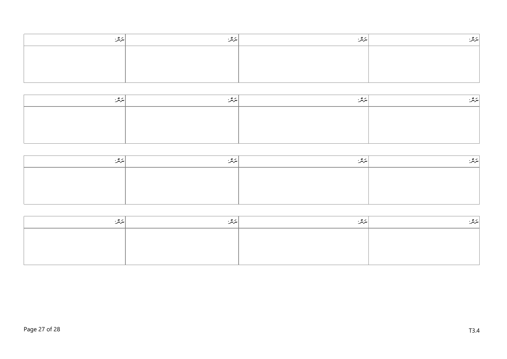| ير هو . | $\overline{\phantom{a}}$ | يرمر | لتزمثن |
|---------|--------------------------|------|--------|
|         |                          |      |        |
|         |                          |      |        |
|         |                          |      |        |

| ىبرىر. | $\sim$<br>ا سرسر . | يئرمثر | o . |
|--------|--------------------|--------|-----|
|        |                    |        |     |
|        |                    |        |     |
|        |                    |        |     |

| الترنثر: | ' مرتكز: | الترنثر: | .,<br>سرسر. |
|----------|----------|----------|-------------|
|          |          |          |             |
|          |          |          |             |
|          |          |          |             |

|  | . ه |
|--|-----|
|  |     |
|  |     |
|  |     |